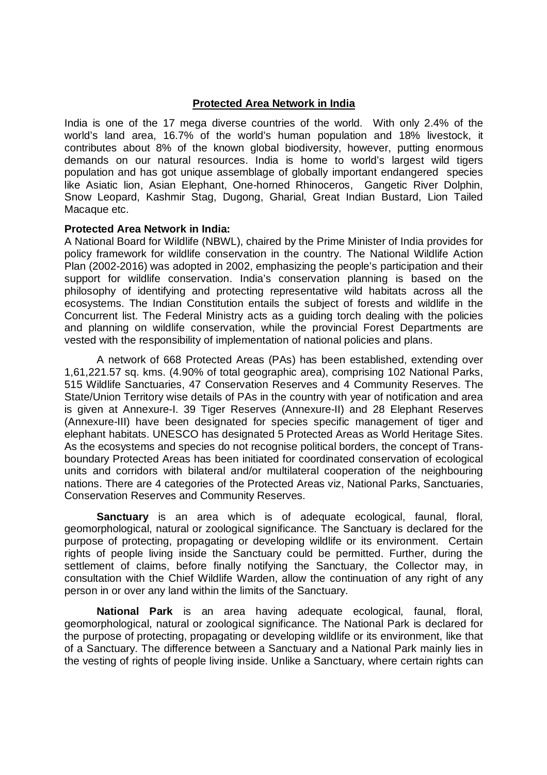### **Protected Area Network in India**

India is one of the 17 mega diverse countries of the world. With only 2.4% of the world's land area, 16.7% of the world's human population and 18% livestock, it contributes about 8% of the known global biodiversity, however, putting enormous demands on our natural resources. India is home to world's largest wild tigers population and has got unique assemblage of globally important endangered species like Asiatic lion, Asian Elephant, One-horned Rhinoceros, Gangetic River Dolphin, Snow Leopard, Kashmir Stag, Dugong, Gharial, Great Indian Bustard, Lion Tailed Macaque etc.

### **Protected Area Network in India:**

A National Board for Wildlife (NBWL), chaired by the Prime Minister of India provides for policy framework for wildlife conservation in the country. The National Wildlife Action Plan (2002-2016) was adopted in 2002, emphasizing the people's participation and their support for wildlife conservation. India's conservation planning is based on the philosophy of identifying and protecting representative wild habitats across all the ecosystems. The Indian Constitution entails the subject of forests and wildlife in the Concurrent list. The Federal Ministry acts as a guiding torch dealing with the policies and planning on wildlife conservation, while the provincial Forest Departments are vested with the responsibility of implementation of national policies and plans.

A network of 668 Protected Areas (PAs) has been established, extending over 1,61,221.57 sq. kms. (4.90% of total geographic area), comprising 102 National Parks, 515 Wildlife Sanctuaries, 47 Conservation Reserves and 4 Community Reserves. The State/Union Territory wise details of PAs in the country with year of notification and area is given at Annexure-I. 39 Tiger Reserves (Annexure-II) and 28 Elephant Reserves (Annexure-III) have been designated for species specific management of tiger and elephant habitats. UNESCO has designated 5 Protected Areas as World Heritage Sites. As the ecosystems and species do not recognise political borders, the concept of Transboundary Protected Areas has been initiated for coordinated conservation of ecological units and corridors with bilateral and/or multilateral cooperation of the neighbouring nations. There are 4 categories of the Protected Areas viz, National Parks, Sanctuaries, Conservation Reserves and Community Reserves.

**Sanctuary** is an area which is of adequate ecological, faunal, floral, geomorphological, natural or zoological significance. The Sanctuary is declared for the purpose of protecting, propagating or developing wildlife or its environment. Certain rights of people living inside the Sanctuary could be permitted. Further, during the settlement of claims, before finally notifying the Sanctuary, the Collector may, in consultation with the Chief Wildlife Warden, allow the continuation of any right of any person in or over any land within the limits of the Sanctuary.

**National Park** is an area having adequate ecological, faunal, floral, geomorphological, natural or zoological significance. The National Park is declared for the purpose of protecting, propagating or developing wildlife or its environment, like that of a Sanctuary. The difference between a Sanctuary and a National Park mainly lies in the vesting of rights of people living inside. Unlike a Sanctuary, where certain rights can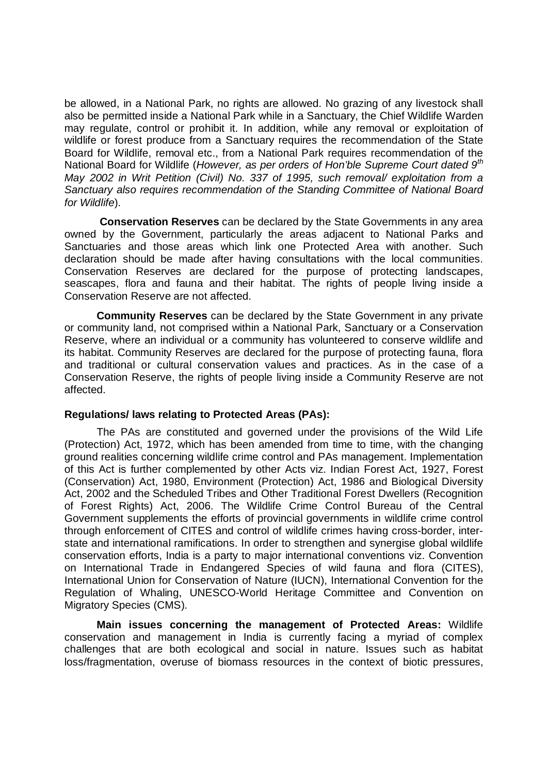be allowed, in a National Park, no rights are allowed. No grazing of any livestock shall also be permitted inside a National Park while in a Sanctuary, the Chief Wildlife Warden may regulate, control or prohibit it. In addition, while any removal or exploitation of wildlife or forest produce from a Sanctuary requires the recommendation of the State Board for Wildlife, removal etc., from a National Park requires recommendation of the National Board for Wildlife (*However, as per orders of Hon'ble Supreme Court dated 9th May 2002 in Writ Petition (Civil) No. 337 of 1995, such removal/ exploitation from a Sanctuary also requires recommendation of the Standing Committee of National Board for Wildlife*).

**Conservation Reserves** can be declared by the State Governments in any area owned by the Government, particularly the areas adjacent to National Parks and Sanctuaries and those areas which link one Protected Area with another. Such declaration should be made after having consultations with the local communities. Conservation Reserves are declared for the purpose of protecting landscapes, seascapes, flora and fauna and their habitat. The rights of people living inside a Conservation Reserve are not affected.

**Community Reserves** can be declared by the State Government in any private or community land, not comprised within a National Park, Sanctuary or a Conservation Reserve, where an individual or a community has volunteered to conserve wildlife and its habitat. Community Reserves are declared for the purpose of protecting fauna, flora and traditional or cultural conservation values and practices. As in the case of a Conservation Reserve, the rights of people living inside a Community Reserve are not affected.

### **Regulations/ laws relating to Protected Areas (PAs):**

The PAs are constituted and governed under the provisions of the Wild Life (Protection) Act, 1972, which has been amended from time to time, with the changing ground realities concerning wildlife crime control and PAs management. Implementation of this Act is further complemented by other Acts viz. Indian Forest Act, 1927, Forest (Conservation) Act, 1980, Environment (Protection) Act, 1986 and Biological Diversity Act, 2002 and the Scheduled Tribes and Other Traditional Forest Dwellers (Recognition of Forest Rights) Act, 2006. The Wildlife Crime Control Bureau of the Central Government supplements the efforts of provincial governments in wildlife crime control through enforcement of CITES and control of wildlife crimes having cross-border, interstate and international ramifications. In order to strengthen and synergise global wildlife conservation efforts, India is a party to major international conventions viz. Convention on International Trade in Endangered Species of wild fauna and flora (CITES), International Union for Conservation of Nature (IUCN), International Convention for the Regulation of Whaling, UNESCO-World Heritage Committee and Convention on Migratory Species (CMS).

**Main issues concerning the management of Protected Areas:** Wildlife conservation and management in India is currently facing a myriad of complex challenges that are both ecological and social in nature. Issues such as habitat loss/fragmentation, overuse of biomass resources in the context of biotic pressures,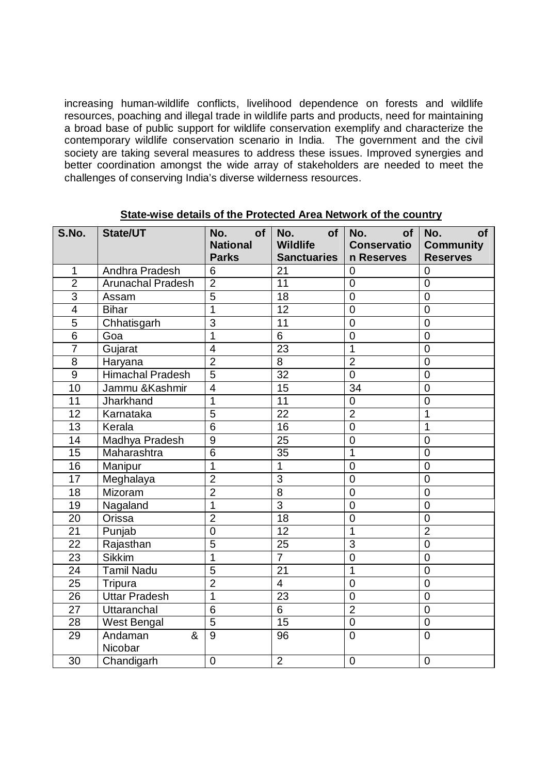increasing human-wildlife conflicts, livelihood dependence on forests and wildlife resources, poaching and illegal trade in wildlife parts and products, need for maintaining a broad base of public support for wildlife conservation exemplify and characterize the contemporary wildlife conservation scenario in India. The government and the civil society are taking several measures to address these issues. Improved synergies and better coordination amongst the wide array of stakeholders are needed to meet the challenges of conserving India's diverse wilderness resources.

| S.No.                   | State/UT                 | No.<br>of<br><b>National</b><br><b>Parks</b> | No.<br>of<br><b>Wildlife</b><br><b>Sanctuaries</b> | No.<br>of<br><b>Conservatio</b><br>n Reserves | No.<br><b>of</b><br><b>Community</b><br><b>Reserves</b> |
|-------------------------|--------------------------|----------------------------------------------|----------------------------------------------------|-----------------------------------------------|---------------------------------------------------------|
| $\mathbf{1}$            | Andhra Pradesh           | 6                                            | 21                                                 | 0                                             | 0                                                       |
| $\overline{2}$          | <b>Arunachal Pradesh</b> | $\overline{2}$                               | $\overline{11}$                                    | $\overline{0}$                                | $\overline{0}$                                          |
| $\overline{3}$          | Assam                    | $\overline{5}$                               | 18                                                 | $\overline{0}$                                | $\mathbf 0$                                             |
| $\overline{\mathbf{4}}$ | <b>Bihar</b>             | $\overline{1}$                               | 12                                                 | $\overline{0}$                                | $\overline{0}$                                          |
| 5                       | Chhatisgarh              | $\overline{3}$                               | 11                                                 | $\overline{0}$                                | $\overline{0}$                                          |
| $\overline{6}$          | Goa                      | $\overline{1}$                               | $\overline{6}$                                     | $\overline{0}$                                | $\overline{0}$                                          |
| $\overline{7}$          | Gujarat                  | $\overline{4}$                               | $\overline{23}$                                    | $\mathbf{1}$                                  | $\overline{0}$                                          |
| 8                       | Haryana                  | $\overline{2}$                               | 8                                                  | $\overline{2}$                                | $\overline{0}$                                          |
| 9                       | <b>Himachal Pradesh</b>  | $\overline{5}$                               | 32                                                 | $\overline{0}$                                | $\overline{0}$                                          |
| $\overline{10}$         | Jammu &Kashmir           | $\overline{4}$                               | $\overline{15}$                                    | $\overline{34}$                               | $\overline{0}$                                          |
| 11                      | Jharkhand                | $\mathbf{1}$                                 | 11                                                 | $\overline{0}$                                | $\overline{0}$                                          |
| $\overline{12}$         | Karnataka                | $\overline{5}$                               | $\overline{22}$                                    | $\overline{2}$                                | $\mathbf 1$                                             |
| 13                      | Kerala                   | 6                                            | 16                                                 | $\mathbf 0$                                   | 1                                                       |
| $\overline{14}$         | Madhya Pradesh           | $\overline{9}$                               | $\overline{25}$                                    | $\overline{0}$                                | $\overline{0}$                                          |
| $\overline{15}$         | Maharashtra              | $\overline{6}$                               | $\overline{35}$                                    | $\overline{1}$                                | $\overline{0}$                                          |
| 16                      | Manipur                  | 1                                            | 1                                                  | $\mathbf 0$                                   | $\overline{0}$                                          |
| 17                      | Meghalaya                | $\overline{2}$                               | 3                                                  | $\overline{0}$                                | $\overline{0}$                                          |
| 18                      | Mizoram                  | $\overline{2}$                               | $\overline{8}$                                     | $\overline{0}$                                | $\overline{0}$                                          |
| 19                      | Nagaland                 | $\overline{1}$                               | $\overline{3}$                                     | $\overline{0}$                                | $\overline{0}$                                          |
| 20                      | Orissa                   | $\overline{2}$                               | $\overline{18}$                                    | $\overline{0}$                                | $\overline{0}$                                          |
| 21                      | Punjab                   | $\overline{0}$                               | 12                                                 | $\mathbf 1$                                   | $\overline{2}$                                          |
| 22                      | Rajasthan                | $\overline{5}$                               | 25                                                 | 3                                             | $\overline{0}$                                          |
| 23                      | <b>Sikkim</b>            | $\overline{1}$                               | $\overline{7}$                                     | $\mathbf 0$                                   | $\overline{0}$                                          |
| 24                      | <b>Tamil Nadu</b>        | $\overline{5}$                               | 21                                                 | 1                                             | $\overline{0}$                                          |
| 25                      | Tripura                  | $\overline{2}$                               | $\overline{4}$                                     | $\overline{0}$                                | $\overline{0}$                                          |
| 26                      | <b>Uttar Pradesh</b>     | $\overline{1}$                               | 23                                                 | $\overline{0}$                                | $\overline{0}$                                          |
| $\overline{27}$         | Uttaranchal              | $\overline{6}$                               | 6                                                  | $\overline{2}$                                | $\mathbf 0$                                             |
| 28                      | West Bengal              | $\overline{5}$                               | 15                                                 | $\mathbf 0$                                   | 0                                                       |
| 29                      | Andaman<br>&<br>Nicobar  | $\overline{9}$                               | 96                                                 | $\overline{0}$                                | $\overline{0}$                                          |
| 30                      | Chandigarh               | $\mathbf 0$                                  | $\overline{2}$                                     | $\mathbf 0$                                   | $\mathbf 0$                                             |

#### **State-wise details of the Protected Area Network of the country**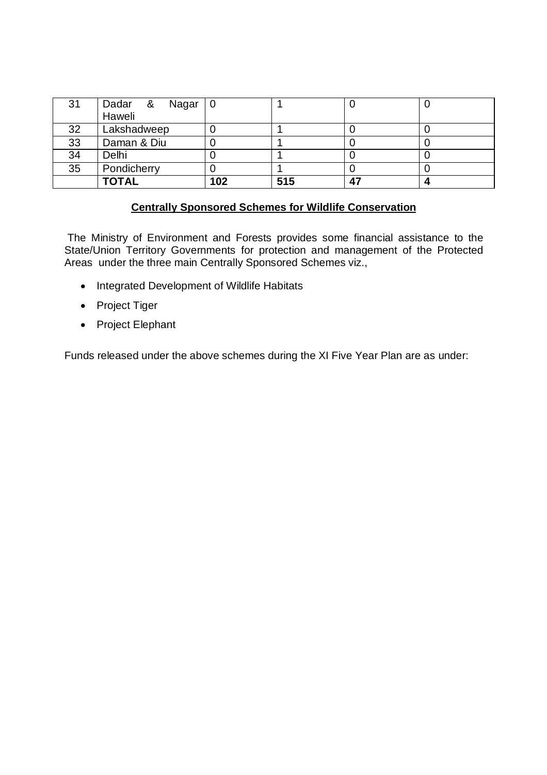| 31 | Dadar & Nagar 0 |     |     |    |  |
|----|-----------------|-----|-----|----|--|
|    | Haweli          |     |     |    |  |
| 32 | Lakshadweep     |     |     |    |  |
| 33 | Daman & Diu     |     |     |    |  |
| 34 | Delhi           |     |     |    |  |
| 35 | Pondicherry     |     |     |    |  |
|    | <b>TOTAL</b>    | 102 | 515 | 47 |  |

### **Centrally Sponsored Schemes for Wildlife Conservation**

The Ministry of Environment and Forests provides some financial assistance to the State/Union Territory Governments for protection and management of the Protected Areas under the three main Centrally Sponsored Schemes viz.,

- Integrated Development of Wildlife Habitats
- Project Tiger
- Project Elephant

Funds released under the above schemes during the XI Five Year Plan are as under: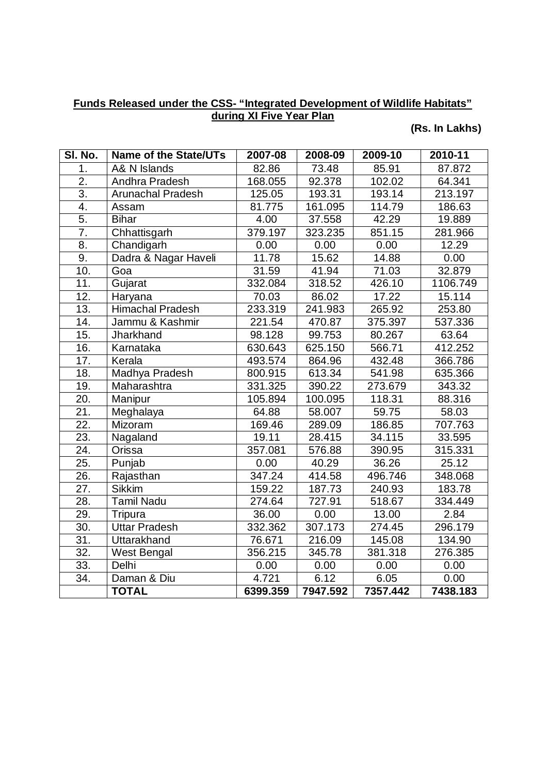### **Funds Released under the CSS- "Integrated Development of Wildlife Habitats" during XI Five Year Plan**

## **(Rs. In Lakhs)**

| SI. No.           | <b>Name of the State/UTs</b> | $2007 - 08$         | 2008-09  | 2009-10            | 2010-11  |
|-------------------|------------------------------|---------------------|----------|--------------------|----------|
| 1.                | A& N Islands                 | 82.86               | 73.48    | 85.91              | 87.872   |
| $\overline{2}$ .  | Andhra Pradesh               | 168.055             | 92.378   | 102.02             | 64.341   |
| 3.                | <b>Arunachal Pradesh</b>     | 125.05              | 193.31   | 193.14             | 213.197  |
| $\overline{4}$ .  | Assam                        | 81.775              | 161.095  | 114.79             | 186.63   |
| 5.                | <b>Bihar</b>                 | 4.00                | 37.558   | 42.29              | 19.889   |
| 7.                | Chhattisgarh                 | 379.197             | 323.235  | 851.15             | 281.966  |
| 8.                | Chandigarh                   | 0.00                | 0.00     | 0.00               | 12.29    |
| 9.                | Dadra & Nagar Haveli         | $\overline{1}$ 1.78 | 15.62    | 14.88              | 0.00     |
| 10.               | Goa                          | 31.59               | 41.94    | 71.03              | 32.879   |
| 11.               | Gujarat                      | 332.084             | 318.52   | 426.10             | 1106.749 |
| 12.               | Haryana                      | 70.03               | 86.02    | 17.22              | 15.114   |
| 13.               | <b>Himachal Pradesh</b>      | 233.319             | 241.983  | 265.92             | 253.80   |
| 14.               | Jammu & Kashmir              | 221.54              | 470.87   | 375.397            | 537.336  |
| 15.               | Jharkhand                    | 98.128              | 99.753   | 80.267             | 63.64    |
| 16.               | Karnataka                    | 630.643             | 625.150  | 566.71             | 412.252  |
| 17.               | Kerala                       | 493.574             | 864.96   | 432.48             | 366.786  |
| 18.               | <b>Madhya Pradesh</b>        | 800.915             | 613.34   | 541.98             | 635.366  |
| 19.               | Maharashtra                  | 331.325             | 390.22   | 273.679            | 343.32   |
| 20.               | Manipur                      | 105.894             | 100.095  | 118.31             | 88.316   |
| 21.               | Meghalaya                    | 64.88               | 58.007   | 59.75              | 58.03    |
| 22.               | Mizoram                      | 169.46              | 289.09   | 186.85             | 707.763  |
| $\overline{23}$ . | Nagaland                     | 19.11               | 28.415   | 34.115             | 33.595   |
| 24.               | Orissa                       | 357.081             | 576.88   | 390.95             | 315.331  |
| 25.               | Punjab                       | 0.00                | 40.29    | 36.26              | 25.12    |
| 26.               | Rajasthan                    | 347.24              | 414.58   | 496.746            | 348.068  |
| 27.               | <b>Sikkim</b>                | 159.22              | 187.73   | 240.93             | 183.78   |
| 28.               | <b>Tamil Nadu</b>            | 274.64              | 727.91   | 518.67             | 334.449  |
| 29.               | Tripura                      | 36.00               | 0.00     | $\overline{13.00}$ | 2.84     |
| 30.               | <b>Uttar Pradesh</b>         | 332.362             | 307.173  | 274.45             | 296.179  |
| 31.               | <b>Uttarakhand</b>           | 76.671              | 216.09   | 145.08             | 134.90   |
| $\overline{32}$ . | <b>West Bengal</b>           | 356.215             | 345.78   | 381.318            | 276.385  |
| 33.               | Delhi                        | 0.00                | 0.00     | 0.00               | 0.00     |
| 34.               | Daman & Diu                  | 4.721               | 6.12     | 6.05               | 0.00     |
|                   | <b>TOTAL</b>                 | 6399.359            | 7947.592 | 7357.442           | 7438.183 |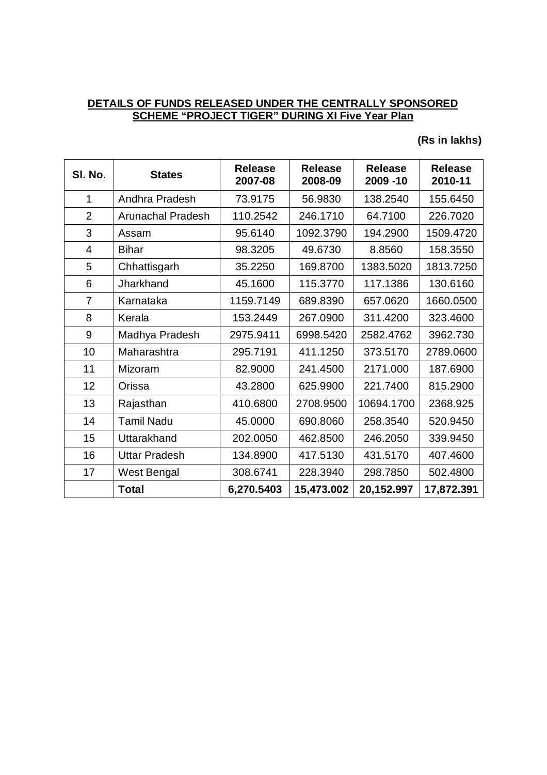### **DETAILS OF FUNDS RELEASED UNDER THE CENTRALLY SPONSORED SCHEME "PROJECT TIGER" DURING XI Five Year Plan**

### **(Rs in lakhs)**

| SI. No.        | <b>States</b>            | <b>Release</b><br>2007-08 | <b>Release</b><br>2008-09 | <b>Release</b><br>2009 -10 | <b>Release</b><br>2010-11 |
|----------------|--------------------------|---------------------------|---------------------------|----------------------------|---------------------------|
| $\mathbf{1}$   | Andhra Pradesh           | 73.9175                   | 56.9830                   | 138.2540                   | 155.6450                  |
| $\overline{2}$ | <b>Arunachal Pradesh</b> | 110.2542                  | 246.1710                  | 64.7100                    | 226.7020                  |
| 3              | Assam                    | 95.6140                   | 1092.3790                 | 194.2900                   | 1509.4720                 |
| 4              | <b>Bihar</b>             | 98.3205                   | 49.6730                   | 8.8560                     | 158.3550                  |
| 5              | Chhattisgarh             | 35.2250                   | 169.8700                  | 1383.5020                  | 1813.7250                 |
| 6              | Jharkhand                | 45.1600                   | 115.3770                  | 117.1386                   | 130.6160                  |
| $\overline{7}$ | Karnataka                | 1159.7149                 | 689.8390                  | 657.0620                   | 1660.0500                 |
| 8              | Kerala                   | 153.2449                  | 267.0900                  | 311.4200                   | 323.4600                  |
| 9              | Madhya Pradesh           | 2975.9411                 | 6998.5420                 | 2582.4762                  | 3962.730                  |
| 10             | Maharashtra              | 295.7191                  | 411.1250                  | 373.5170                   | 2789.0600                 |
| 11             | Mizoram                  | 82.9000                   | 241.4500                  | 2171.000                   | 187.6900                  |
| 12             | Orissa                   | 43.2800                   | 625.9900                  | 221.7400                   | 815.2900                  |
| 13             | Rajasthan                | 410.6800                  | 2708.9500                 | 10694.1700                 | 2368.925                  |
| 14             | <b>Tamil Nadu</b>        | 45.0000                   | 690.8060                  | 258.3540                   | 520.9450                  |
| 15             | Uttarakhand              | 202.0050                  | 462.8500                  | 246.2050                   | 339.9450                  |
| 16             | <b>Uttar Pradesh</b>     | 134.8900                  | 417.5130                  | 431.5170                   | 407.4600                  |
| 17             | West Bengal              | 308.6741                  | 228.3940                  | 298.7850                   | 502.4800                  |
|                | <b>Total</b>             | 6,270.5403                | 15,473.002                | 20,152.997                 | 17,872.391                |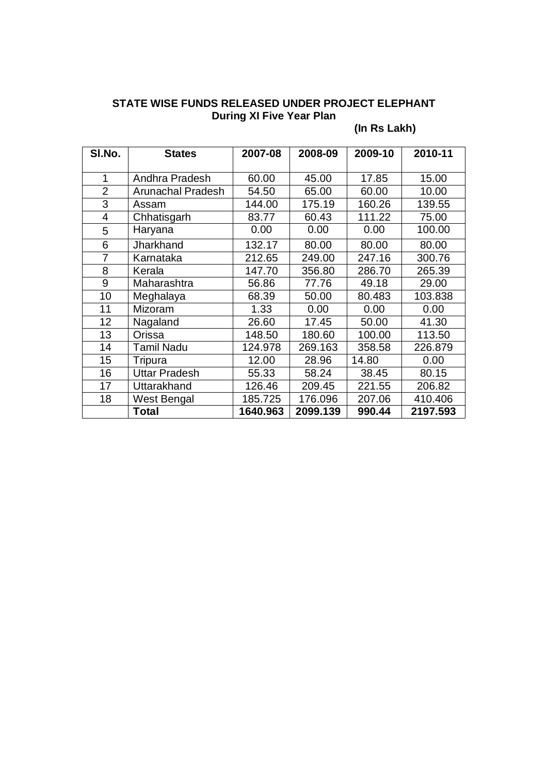### **STATE WISE FUNDS RELEASED UNDER PROJECT ELEPHANT During XI Five Year Plan**

# **(In Rs Lakh)**

| SI.No.         | <b>States</b>            | 2007-08  | 2008-09  | 2009-10 | 2010-11  |
|----------------|--------------------------|----------|----------|---------|----------|
| 1              | Andhra Pradesh           | 60.00    | 45.00    | 17.85   | 15.00    |
| $\overline{2}$ | <b>Arunachal Pradesh</b> | 54.50    | 65.00    | 60.00   | 10.00    |
| 3              | Assam                    | 144.00   | 175.19   | 160.26  | 139.55   |
| $\overline{4}$ | Chhatisgarh              | 83.77    | 60.43    | 111.22  | 75.00    |
| 5              | Haryana                  | 0.00     | 0.00     | 0.00    | 100.00   |
| 6              | Jharkhand                | 132.17   | 80.00    | 80.00   | 80.00    |
| $\overline{7}$ | Karnataka                | 212.65   | 249.00   | 247.16  | 300.76   |
| 8              | Kerala                   | 147.70   | 356.80   | 286.70  | 265.39   |
| 9              | Maharashtra              | 56.86    | 77.76    | 49.18   | 29.00    |
| 10             | Meghalaya                | 68.39    | 50.00    | 80.483  | 103.838  |
| 11             | Mizoram                  | 1.33     | 0.00     | 0.00    | 0.00     |
| 12             | Nagaland                 | 26.60    | 17.45    | 50.00   | 41.30    |
| 13             | Orissa                   | 148.50   | 180.60   | 100.00  | 113.50   |
| 14             | <b>Tamil Nadu</b>        | 124.978  | 269.163  | 358.58  | 226.879  |
| 15             | Tripura                  | 12.00    | 28.96    | 14.80   | 0.00     |
| 16             | <b>Uttar Pradesh</b>     | 55.33    | 58.24    | 38.45   | 80.15    |
| 17             | Uttarakhand              | 126.46   | 209.45   | 221.55  | 206.82   |
| 18             | West Bengal              | 185.725  | 176.096  | 207.06  | 410.406  |
|                | <b>Total</b>             | 1640.963 | 2099.139 | 990.44  | 2197.593 |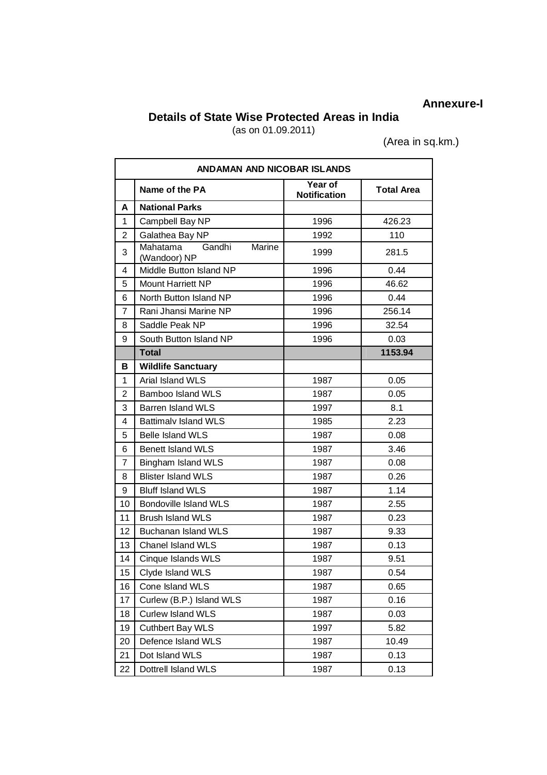# **Annexure-I**

### **Details of State Wise Protected Areas in India**

(as on 01.09.2011)

(Area in sq.km.)

|                | <b>ANDAMAN AND NICOBAR ISLANDS</b>           |                                |                   |  |  |
|----------------|----------------------------------------------|--------------------------------|-------------------|--|--|
|                | Name of the PA                               | Year of<br><b>Notification</b> | <b>Total Area</b> |  |  |
| A              | <b>National Parks</b>                        |                                |                   |  |  |
| 1              | Campbell Bay NP                              | 1996                           | 426.23            |  |  |
| $\overline{2}$ | Galathea Bay NP                              | 1992                           | 110               |  |  |
| 3              | Mahatama<br>Gandhi<br>Marine<br>(Wandoor) NP | 1999                           | 281.5             |  |  |
| 4              | Middle Button Island NP                      | 1996                           | 0.44              |  |  |
| 5              | <b>Mount Harriett NP</b>                     | 1996                           | 46.62             |  |  |
| 6              | North Button Island NP                       | 1996                           | 0.44              |  |  |
| 7              | Rani Jhansi Marine NP                        | 1996                           | 256.14            |  |  |
| 8              | Saddle Peak NP                               | 1996                           | 32.54             |  |  |
| 9              | South Button Island NP                       | 1996                           | 0.03              |  |  |
|                | <b>Total</b>                                 |                                | 1153.94           |  |  |
| В              | <b>Wildlife Sanctuary</b>                    |                                |                   |  |  |
| 1              | Arial Island WLS                             | 1987                           | 0.05              |  |  |
| $\overline{2}$ | <b>Bamboo Island WLS</b>                     | 1987                           | 0.05              |  |  |
| 3              | <b>Barren Island WLS</b>                     | 1997                           | 8.1               |  |  |
| 4              | <b>Battimalv Island WLS</b>                  | 1985                           | 2.23              |  |  |
| 5              | <b>Belle Island WLS</b>                      | 1987                           | 0.08              |  |  |
| 6              | <b>Benett Island WLS</b>                     | 1987                           | 3.46              |  |  |
| $\overline{7}$ | <b>Bingham Island WLS</b>                    | 1987                           | 0.08              |  |  |
| 8              | <b>Blister Island WLS</b>                    | 1987                           | 0.26              |  |  |
| 9              | <b>Bluff Island WLS</b>                      | 1987                           | 1.14              |  |  |
| 10             | <b>Bondoville Island WLS</b>                 | 1987                           | 2.55              |  |  |
| 11             | <b>Brush Island WLS</b>                      | 1987                           | 0.23              |  |  |
| 12             | <b>Buchanan Island WLS</b>                   | 1987                           | 9.33              |  |  |
| 13             | Chanel Island WLS                            | 1987                           | 0.13              |  |  |
| 14             | Cinque Islands WLS                           | 1987                           | 9.51              |  |  |
| 15             | Clyde Island WLS                             | 1987                           | 0.54              |  |  |
| 16             | Cone Island WLS                              | 1987                           | 0.65              |  |  |
| 17             | Curlew (B.P.) Island WLS                     | 1987                           | 0.16              |  |  |
| 18             | <b>Curlew Island WLS</b>                     | 1987                           | 0.03              |  |  |
| 19             | Cuthbert Bay WLS                             | 1997                           | 5.82              |  |  |
| 20             | Defence Island WLS                           | 1987                           | 10.49             |  |  |
| 21             | Dot Island WLS                               | 1987                           | 0.13              |  |  |
| 22             | Dottrell Island WLS                          | 1987                           | 0.13              |  |  |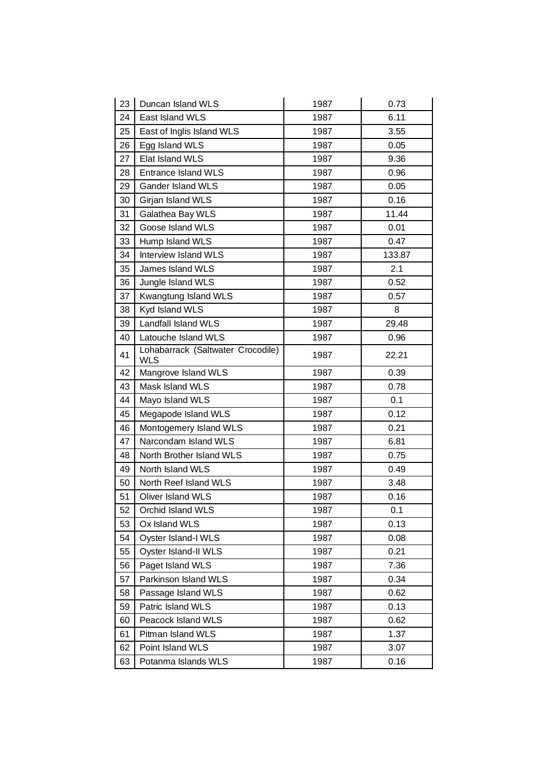| 23 | Duncan Island WLS                               | 1987 | 0.73   |
|----|-------------------------------------------------|------|--------|
| 24 | East Island WLS                                 | 1987 | 6.11   |
| 25 | East of Inglis Island WLS                       | 1987 | 3.55   |
| 26 | Egg Island WLS                                  | 1987 | 0.05   |
| 27 | Elat Island WLS                                 | 1987 | 9.36   |
| 28 | <b>Entrance Island WLS</b>                      | 1987 | 0.96   |
| 29 | <b>Gander Island WLS</b>                        | 1987 | 0.05   |
| 30 | Girjan Island WLS                               | 1987 | 0.16   |
| 31 | Galathea Bay WLS                                | 1987 | 11.44  |
| 32 | Goose Island WLS                                | 1987 | 0.01   |
| 33 | Hump Island WLS                                 | 1987 | 0.47   |
| 34 | Interview Island WLS                            | 1987 | 133.87 |
| 35 | James Island WLS                                | 1987 | 2.1    |
| 36 | Jungle Island WLS                               | 1987 | 0.52   |
| 37 | Kwangtung Island WLS                            | 1987 | 0.57   |
| 38 | Kyd Island WLS                                  | 1987 | 8      |
| 39 | Landfall Island WLS                             | 1987 | 29.48  |
| 40 | Latouche Island WLS                             | 1987 | 0.96   |
| 41 | Lohabarrack (Saltwater Crocodile)<br><b>WLS</b> | 1987 | 22.21  |
| 42 | Mangrove Island WLS                             | 1987 | 0.39   |
| 43 | Mask Island WLS                                 | 1987 | 0.78   |
| 44 | Mayo Island WLS                                 | 1987 | 0.1    |
| 45 | Megapode Island WLS                             | 1987 | 0.12   |
| 46 | Montogemery Island WLS                          | 1987 | 0.21   |
| 47 | Narcondam Island WLS                            | 1987 | 6.81   |
| 48 | North Brother Island WLS                        | 1987 | 0.75   |
| 49 | North Island WLS                                | 1987 | 0.49   |
| 50 | North Reef Island WLS                           | 1987 | 3.48   |
| 51 | Oliver Island WLS                               | 1987 | 0.16   |
| 52 | Orchid Island WLS                               | 1987 | 0.1    |
| 53 | Ox Island WLS                                   | 1987 | 0.13   |
| 54 | Oyster Island-I WLS                             | 1987 | 0.08   |
| 55 | Oyster Island-II WLS                            | 1987 | 0.21   |
| 56 | Paget Island WLS                                | 1987 | 7.36   |
| 57 | Parkinson Island WLS                            | 1987 | 0.34   |
| 58 | Passage Island WLS                              | 1987 | 0.62   |
| 59 | Patric Island WLS                               | 1987 | 0.13   |
| 60 | Peacock Island WLS                              | 1987 | 0.62   |
| 61 | Pitman Island WLS                               | 1987 | 1.37   |
| 62 | Point Island WLS                                | 1987 | 3.07   |
| 63 | Potanma Islands WLS                             | 1987 | 0.16   |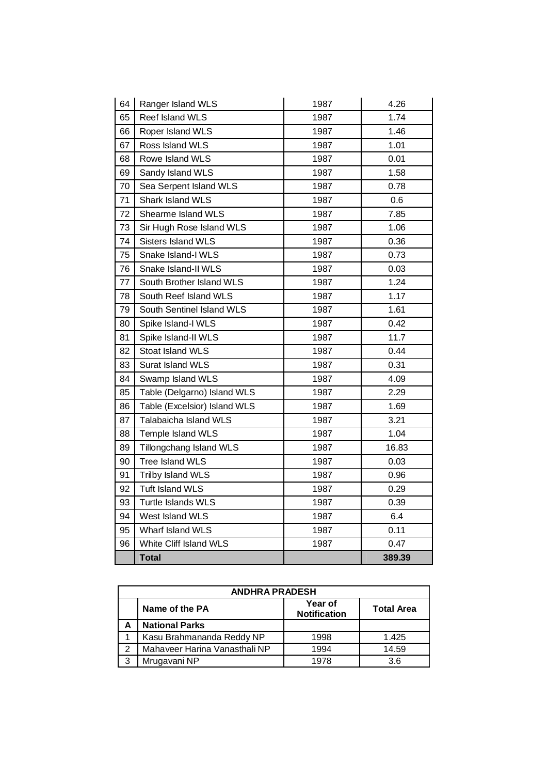| 64 | Ranger Island WLS            | 1987 | 4.26   |
|----|------------------------------|------|--------|
| 65 | Reef Island WLS              | 1987 | 1.74   |
| 66 | Roper Island WLS             | 1987 | 1.46   |
| 67 | Ross Island WLS              | 1987 | 1.01   |
| 68 | Rowe Island WLS              | 1987 | 0.01   |
| 69 | Sandy Island WLS             | 1987 | 1.58   |
| 70 | Sea Serpent Island WLS       | 1987 | 0.78   |
| 71 | Shark Island WLS             | 1987 | 0.6    |
| 72 | Shearme Island WLS           | 1987 | 7.85   |
| 73 | Sir Hugh Rose Island WLS     | 1987 | 1.06   |
| 74 | Sisters Island WLS           | 1987 | 0.36   |
| 75 | Snake Island-I WLS           | 1987 | 0.73   |
| 76 | Snake Island-II WLS          | 1987 | 0.03   |
| 77 | South Brother Island WLS     | 1987 | 1.24   |
| 78 | South Reef Island WLS        | 1987 | 1.17   |
| 79 | South Sentinel Island WLS    | 1987 | 1.61   |
| 80 | Spike Island-I WLS           | 1987 | 0.42   |
| 81 | Spike Island-II WLS          | 1987 | 11.7   |
| 82 | Stoat Island WLS             | 1987 | 0.44   |
| 83 | Surat Island WLS             | 1987 | 0.31   |
| 84 | Swamp Island WLS             | 1987 | 4.09   |
| 85 | Table (Delgarno) Island WLS  | 1987 | 2.29   |
| 86 | Table (Excelsior) Island WLS | 1987 | 1.69   |
| 87 | Talabaicha Island WLS        | 1987 | 3.21   |
| 88 | Temple Island WLS            | 1987 | 1.04   |
| 89 | Tillongchang Island WLS      | 1987 | 16.83  |
| 90 | Tree Island WLS              | 1987 | 0.03   |
| 91 | Trilby Island WLS            | 1987 | 0.96   |
| 92 | <b>Tuft Island WLS</b>       | 1987 | 0.29   |
| 93 | Turtle Islands WLS           | 1987 | 0.39   |
| 94 | West Island WLS              | 1987 | 6.4    |
| 95 | Wharf Island WLS             | 1987 | 0.11   |
| 96 | White Cliff Island WLS       | 1987 | 0.47   |
|    | <b>Total</b>                 |      | 389.39 |

|   | <b>ANDHRA PRADESH</b>         |                                |                   |  |  |
|---|-------------------------------|--------------------------------|-------------------|--|--|
|   | Name of the PA                | Year of<br><b>Notification</b> | <b>Total Area</b> |  |  |
|   | <b>National Parks</b>         |                                |                   |  |  |
|   | Kasu Brahmananda Reddy NP     | 1998                           | 1.425             |  |  |
| っ | Mahaveer Harina Vanasthali NP | 1994                           | 14.59             |  |  |
| 3 | Mrugavani NP                  | 1978                           | 3.6               |  |  |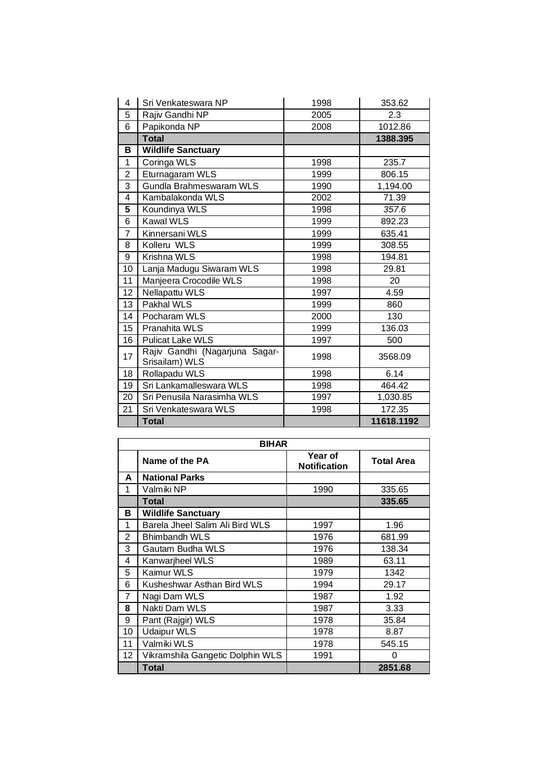| 4              | Sri Venkateswara NP                              | 1998 | 353.62     |
|----------------|--------------------------------------------------|------|------------|
| 5              | Rajiv Gandhi NP                                  | 2005 | 2.3        |
| 6              | Papikonda NP                                     | 2008 | 1012.86    |
|                | <b>Total</b>                                     |      | 1388.395   |
| в              | <b>Wildlife Sanctuary</b>                        |      |            |
| $\mathbf{1}$   | Coringa WLS                                      | 1998 | 235.7      |
| $\overline{2}$ | Eturnagaram WLS                                  | 1999 | 806.15     |
| 3              | Gundla Brahmeswaram WLS                          | 1990 | 1,194.00   |
| 4              | Kambalakonda WLS                                 | 2002 | 71.39      |
| 5              | Koundinya WLS                                    | 1998 | 357.6      |
| 6              | <b>Kawal WLS</b>                                 | 1999 | 892.23     |
| $\overline{7}$ | Kinnersani WLS                                   | 1999 | 635.41     |
| 8              | Kolleru WLS                                      | 1999 | 308.55     |
| 9              | Krishna WLS                                      | 1998 | 194.81     |
| 10             | Lanja Madugu Siwaram WLS                         | 1998 | 29.81      |
| 11             | Manjeera Crocodile WLS                           | 1998 | 20         |
| 12             | Nellapattu WLS                                   | 1997 | 4.59       |
| 13             | Pakhal WLS                                       | 1999 | 860        |
| 14             | Pocharam WLS                                     | 2000 | 130        |
| 15             | Pranahita WLS                                    | 1999 | 136.03     |
| 16             | <b>Pulicat Lake WLS</b>                          | 1997 | 500        |
| 17             | Rajiv Gandhi (Nagarjuna Sagar-<br>Srisailam) WLS | 1998 | 3568.09    |
| 18             | Rollapadu WLS                                    | 1998 | 6.14       |
| 19             | Sri Lankamalleswara WLS                          | 1998 | 464.42     |
| 20             | Sri Penusila Narasimha WLS                       | 1997 | 1,030.85   |
| 21             | Sri Venkateswara WLS                             | 1998 | 172.35     |
|                | <b>Total</b>                                     |      | 11618.1192 |

|                | <b>BIHAR</b>                     |                                |                   |  |  |
|----------------|----------------------------------|--------------------------------|-------------------|--|--|
|                | Name of the PA                   | Year of<br><b>Notification</b> | <b>Total Area</b> |  |  |
| A              | <b>National Parks</b>            |                                |                   |  |  |
| 1              | Valmiki NP                       | 1990                           | 335.65            |  |  |
|                | <b>Total</b>                     |                                | 335.65            |  |  |
| в              | <b>Wildlife Sanctuary</b>        |                                |                   |  |  |
| 1              | Barela Jheel Salim Ali Bird WLS  | 1997                           | 1.96              |  |  |
| $\overline{2}$ | <b>Bhimbandh WLS</b>             | 1976                           | 681.99            |  |  |
| 3              | Gautam Budha WLS                 | 1976                           | 138.34            |  |  |
| 4              | Kanwarjheel WLS                  | 1989                           | 63.11             |  |  |
| 5              | Kaimur WLS                       | 1979                           | 1342              |  |  |
| 6              | Kusheshwar Asthan Bird WLS       | 1994                           | 29.17             |  |  |
| 7              | Nagi Dam WLS                     | 1987                           | 1.92              |  |  |
| 8              | Nakti Dam WLS                    | 1987                           | 3.33              |  |  |
| 9              | Pant (Rajgir) WLS                | 1978                           | 35.84             |  |  |
| 10             | <b>Udaipur WLS</b>               | 1978                           | 8.87              |  |  |
| 11             | Valmiki WLS                      | 1978                           | 545.15            |  |  |
| 12             | Vikramshila Gangetic Dolphin WLS | 1991                           | O                 |  |  |
|                | <b>Total</b>                     |                                | 2851.68           |  |  |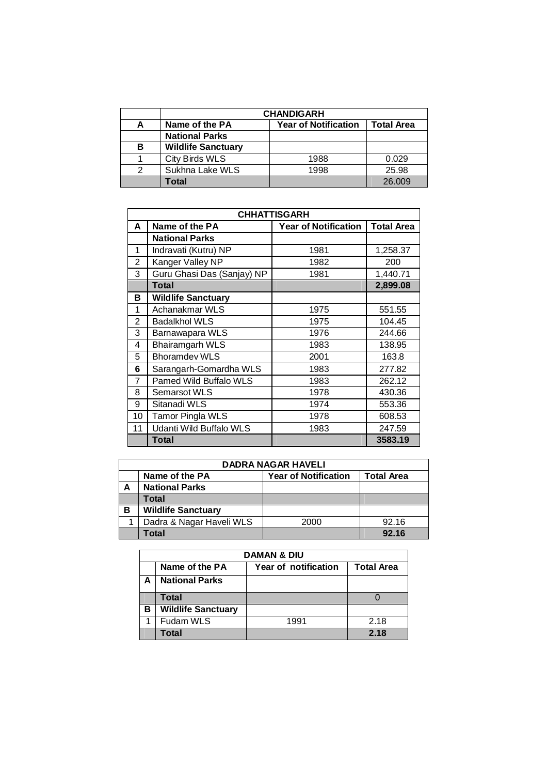|   | <b>CHANDIGARH</b>         |                             |                   |  |
|---|---------------------------|-----------------------------|-------------------|--|
| А | Name of the PA            | <b>Year of Notification</b> | <b>Total Area</b> |  |
|   | <b>National Parks</b>     |                             |                   |  |
| B | <b>Wildlife Sanctuary</b> |                             |                   |  |
|   | City Birds WLS            | 1988                        | 0.029             |  |
| 2 | Sukhna Lake WLS           | 1998                        | 25.98             |  |
|   | Total                     |                             | 26.009            |  |

|                | <b>CHHATTISGARH</b>        |                             |                   |  |
|----------------|----------------------------|-----------------------------|-------------------|--|
| A              | Name of the PA             | <b>Year of Notification</b> | <b>Total Area</b> |  |
|                | <b>National Parks</b>      |                             |                   |  |
| 1              | Indravati (Kutru) NP       | 1981                        | 1,258.37          |  |
| 2              | Kanger Valley NP           | 1982                        | 200               |  |
| 3              | Guru Ghasi Das (Sanjay) NP | 1981                        | 1,440.71          |  |
|                | <b>Total</b>               |                             | 2,899.08          |  |
| в              | <b>Wildlife Sanctuary</b>  |                             |                   |  |
| 1              | Achanakmar WLS             | 1975                        | 551.55            |  |
| $\overline{2}$ | <b>Badalkhol WLS</b>       | 1975                        | 104.45            |  |
| 3              | Barnawapara WLS            | 1976                        | 244.66            |  |
| 4              | <b>Bhairamgarh WLS</b>     | 1983                        | 138.95            |  |
| 5              | <b>Bhoramdev WLS</b>       | 2001                        | 163.8             |  |
| 6              | Sarangarh-Gomardha WLS     | 1983                        | 277.82            |  |
| 7              | Pamed Wild Buffalo WLS     | 1983                        | 262.12            |  |
| 8              | <b>Semarsot WLS</b>        | 1978                        | 430.36            |  |
| 9              | Sitanadi WLS               | 1974                        | 553.36            |  |
| 10             | Tamor Pingla WLS           | 1978                        | 608.53            |  |
| 11             | Udanti Wild Buffalo WLS    | 1983                        | 247.59            |  |
|                | <b>Total</b>               |                             | 3583.19           |  |

| <b>DADRA NAGAR HAVELI</b> |                                                                    |      |       |  |  |
|---------------------------|--------------------------------------------------------------------|------|-------|--|--|
|                           | Name of the PA<br><b>Year of Notification</b><br><b>Total Area</b> |      |       |  |  |
| А                         | <b>National Parks</b>                                              |      |       |  |  |
|                           | Total                                                              |      |       |  |  |
| в                         | <b>Wildlife Sanctuary</b>                                          |      |       |  |  |
|                           | Dadra & Nagar Haveli WLS                                           | 2000 | 92.16 |  |  |
|                           | Total                                                              |      | 92.16 |  |  |

|   | <b>DAMAN &amp; DIU</b>                                      |      |      |  |  |  |
|---|-------------------------------------------------------------|------|------|--|--|--|
|   | <b>Total Area</b><br>Name of the PA<br>Year of notification |      |      |  |  |  |
| А | <b>National Parks</b>                                       |      |      |  |  |  |
|   | Total                                                       |      |      |  |  |  |
| в | <b>Wildlife Sanctuary</b>                                   |      |      |  |  |  |
|   | Fudam WLS                                                   | 1991 | 2.18 |  |  |  |
|   | Total                                                       |      | 2.18 |  |  |  |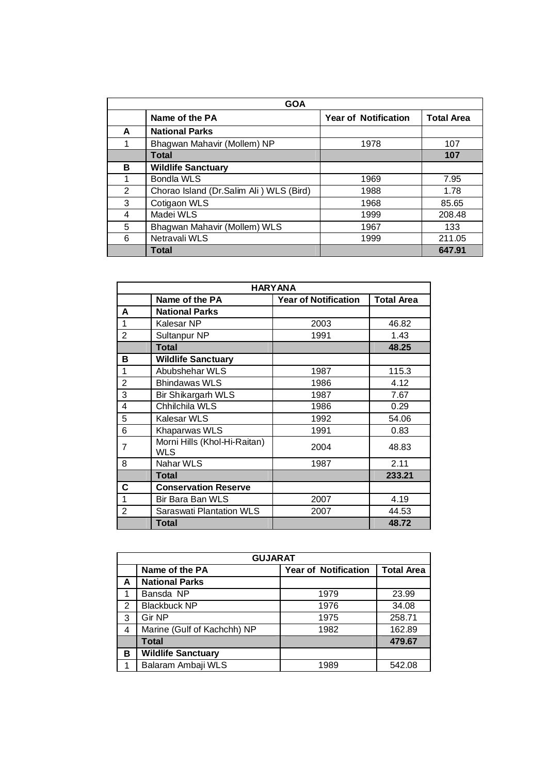| <b>GOA</b> |                                         |                             |                   |  |
|------------|-----------------------------------------|-----------------------------|-------------------|--|
|            | Name of the PA                          | <b>Year of Notification</b> | <b>Total Area</b> |  |
| A          | <b>National Parks</b>                   |                             |                   |  |
|            | Bhagwan Mahavir (Mollem) NP             | 1978                        | 107               |  |
|            | <b>Total</b>                            |                             | 107               |  |
| в          | <b>Wildlife Sanctuary</b>               |                             |                   |  |
|            | <b>Bondla WLS</b>                       | 1969                        | 7.95              |  |
| 2          | Chorao Island (Dr.Salim Ali) WLS (Bird) | 1988                        | 1.78              |  |
| 3          | Cotigaon WLS                            | 1968                        | 85.65             |  |
| 4          | Madei WLS                               | 1999                        | 208.48            |  |
| 5          | Bhagwan Mahavir (Mollem) WLS            | 1967                        | 133               |  |
| 6          | Netravali WLS                           | 1999                        | 211.05            |  |
|            | Total                                   |                             | 647.91            |  |

| <b>HARYANA</b> |                                     |                             |                   |
|----------------|-------------------------------------|-----------------------------|-------------------|
|                | Name of the PA                      | <b>Year of Notification</b> | <b>Total Area</b> |
| A              | <b>National Parks</b>               |                             |                   |
| 1              | Kalesar NP                          | 2003                        | 46.82             |
| $\overline{2}$ | Sultanpur NP                        | 1991                        | 1.43              |
|                | <b>Total</b>                        |                             | 48.25             |
| в              | <b>Wildlife Sanctuary</b>           |                             |                   |
| 1              | Abubshehar WLS                      | 1987                        | 115.3             |
| $\overline{2}$ | <b>Bhindawas WLS</b>                | 1986                        | 4.12              |
| 3              | <b>Bir Shikargarh WLS</b>           | 1987                        | 7.67              |
| 4              | Chhilchila WLS                      | 1986                        | 0.29              |
| 5              | Kalesar WLS                         | 1992                        | 54.06             |
| 6              | Khaparwas WLS                       | 1991                        | 0.83              |
| 7              | Morni Hills (Khol-Hi-Raitan)<br>WLS | 2004                        | 48.83             |
| 8              | Nahar WLS                           | 1987                        | 2.11              |
|                | <b>Total</b>                        |                             | 233.21            |
| С              | <b>Conservation Reserve</b>         |                             |                   |
| 1              | Bir Bara Ban WLS                    | 2007                        | 4.19              |
| $\overline{2}$ | Saraswati Plantation WLS            | 2007                        | 44.53             |
|                | Total                               |                             | 48.72             |

|               | <b>GUJARAT</b>              |                             |                   |  |  |
|---------------|-----------------------------|-----------------------------|-------------------|--|--|
|               | Name of the PA              | <b>Year of Notification</b> | <b>Total Area</b> |  |  |
| A             | <b>National Parks</b>       |                             |                   |  |  |
|               | Bansda NP                   | 1979                        | 23.99             |  |  |
| $\mathcal{P}$ | <b>Blackbuck NP</b>         | 1976                        | 34.08             |  |  |
| 3             | Gir NP                      | 1975                        | 258.71            |  |  |
| 4             | Marine (Gulf of Kachchh) NP | 1982                        | 162.89            |  |  |
|               | <b>Total</b>                |                             | 479.67            |  |  |
| в             | <b>Wildlife Sanctuary</b>   |                             |                   |  |  |
|               | Balaram Ambaji WLS          | 1989                        | 542.08            |  |  |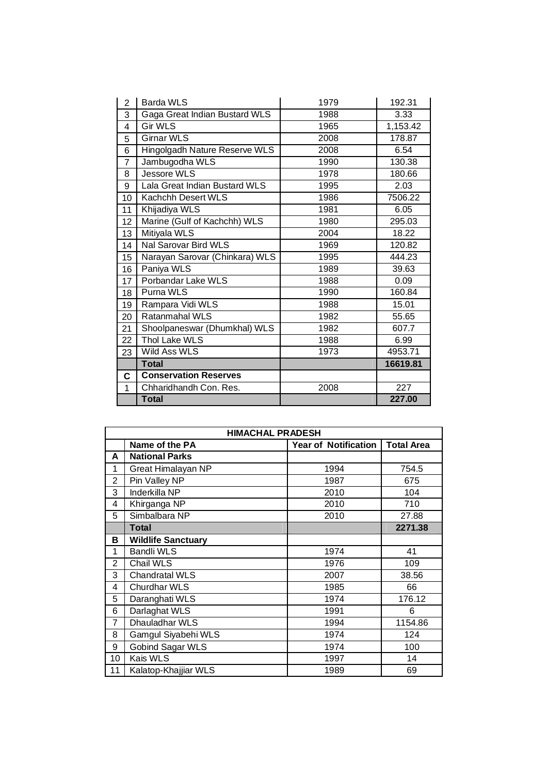| $\overline{2}$          | <b>Barda WLS</b>               | 1979 | 192.31   |
|-------------------------|--------------------------------|------|----------|
| 3                       | Gaga Great Indian Bustard WLS  | 1988 | 3.33     |
| $\overline{\mathbf{4}}$ | <b>Gir WLS</b>                 | 1965 | 1,153.42 |
| 5                       | <b>Girnar WLS</b>              | 2008 | 178.87   |
| 6                       | Hingolgadh Nature Reserve WLS  | 2008 | 6.54     |
| 7                       | Jambugodha WLS                 | 1990 | 130.38   |
| 8                       | <b>Jessore WLS</b>             | 1978 | 180.66   |
| 9                       | Lala Great Indian Bustard WLS  | 1995 | 2.03     |
| 10                      | Kachchh Desert WLS             | 1986 | 7506.22  |
| 11                      | Khijadiya WLS                  | 1981 | 6.05     |
| 12                      | Marine (Gulf of Kachchh) WLS   | 1980 | 295.03   |
| 13                      | Mitiyala WLS                   | 2004 | 18.22    |
| 14                      | Nal Sarovar Bird WLS           | 1969 | 120.82   |
| 15                      | Narayan Sarovar (Chinkara) WLS | 1995 | 444.23   |
| 16                      | Paniya WLS                     | 1989 | 39.63    |
| 17                      | Porbandar Lake WLS             | 1988 | 0.09     |
| 18                      | Purna WLS                      | 1990 | 160.84   |
| 19                      | Rampara Vidi WLS               | 1988 | 15.01    |
| 20                      | Ratanmahal WLS                 | 1982 | 55.65    |
| 21                      | Shoolpaneswar (Dhumkhal) WLS   | 1982 | 607.7    |
| 22                      | Thol Lake WLS                  | 1988 | 6.99     |
| 23                      | Wild Ass WLS                   | 1973 | 4953.71  |
|                         | <b>Total</b>                   |      | 16619.81 |
| C                       | <b>Conservation Reserves</b>   |      |          |
| 1                       | Chharidhandh Con. Res.         | 2008 | 227      |
|                         | <b>Total</b>                   |      | 227.00   |

| <b>HIMACHAL PRADESH</b> |                                                                    |      |         |  |  |  |
|-------------------------|--------------------------------------------------------------------|------|---------|--|--|--|
|                         | <b>Year of Notification</b><br>Name of the PA<br><b>Total Area</b> |      |         |  |  |  |
| A                       | <b>National Parks</b>                                              |      |         |  |  |  |
| 1                       | Great Himalayan NP                                                 | 1994 | 754.5   |  |  |  |
| 2                       | Pin Valley NP                                                      | 1987 | 675     |  |  |  |
| 3                       | Inderkilla NP                                                      | 2010 | 104     |  |  |  |
| 4                       | Khirganga NP                                                       | 2010 | 710     |  |  |  |
| 5                       | Simbalbara NP                                                      | 2010 | 27.88   |  |  |  |
|                         | Total                                                              |      | 2271.38 |  |  |  |
| В                       | <b>Wildlife Sanctuary</b>                                          |      |         |  |  |  |
| 1                       | <b>Bandli WLS</b>                                                  | 1974 | 41      |  |  |  |
| $\mathfrak{p}$          | Chail WLS                                                          | 1976 | 109     |  |  |  |
| 3                       | <b>Chandratal WLS</b>                                              | 2007 | 38.56   |  |  |  |
| 4                       | <b>Churdhar WLS</b>                                                | 1985 | 66      |  |  |  |
| 5                       | Daranghati WLS                                                     | 1974 | 176.12  |  |  |  |
| 6                       | Darlaghat WLS                                                      | 1991 | 6       |  |  |  |
| $\overline{7}$          | Dhauladhar WLS                                                     | 1994 | 1154.86 |  |  |  |
| 8                       | Gamgul Siyabehi WLS                                                | 1974 | 124     |  |  |  |
| 9                       | Gobind Sagar WLS                                                   | 1974 | 100     |  |  |  |
| 10                      | Kais WLS                                                           | 1997 | 14      |  |  |  |
| 11                      | Kalatop-Khajjiar WLS                                               | 1989 | 69      |  |  |  |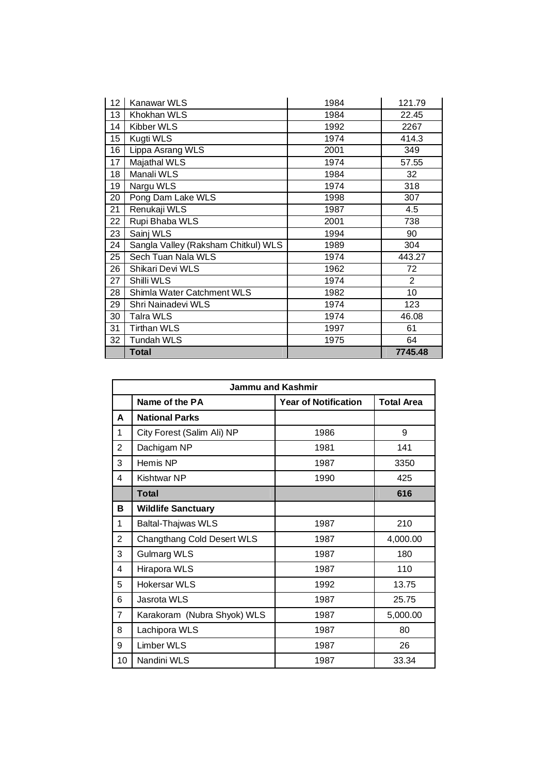| 12 | <b>Kanawar WLS</b>                  | 1984 | 121.79         |
|----|-------------------------------------|------|----------------|
| 13 | Khokhan WLS                         | 1984 | 22.45          |
| 14 | Kibber WLS                          | 1992 | 2267           |
| 15 | Kugti WLS                           | 1974 | 414.3          |
| 16 | Lippa Asrang WLS                    | 2001 | 349            |
| 17 | Majathal WLS                        | 1974 | 57.55          |
| 18 | Manali WLS                          | 1984 | 32             |
| 19 | Nargu WLS                           | 1974 | 318            |
| 20 | Pong Dam Lake WLS                   | 1998 | 307            |
| 21 | Renukaji WLS                        | 1987 | 4.5            |
| 22 | Rupi Bhaba WLS                      | 2001 | 738            |
| 23 | Sainj WLS                           | 1994 | 90             |
| 24 | Sangla Valley (Raksham Chitkul) WLS | 1989 | 304            |
| 25 | Sech Tuan Nala WLS                  | 1974 | 443.27         |
| 26 | Shikari Devi WLS                    | 1962 | 72             |
| 27 | Shilli WLS                          | 1974 | $\overline{2}$ |
| 28 | Shimla Water Catchment WLS          | 1982 | 10             |
| 29 | Shri Nainadevi WLS                  | 1974 | 123            |
| 30 | Talra WLS                           | 1974 | 46.08          |
| 31 | <b>Tirthan WLS</b>                  | 1997 | 61             |
| 32 | <b>Tundah WLS</b>                   | 1975 | 64             |
|    | <b>Total</b>                        |      | 7745.48        |

|                | Jammu and Kashmir           |                             |                   |  |
|----------------|-----------------------------|-----------------------------|-------------------|--|
|                | Name of the PA              | <b>Year of Notification</b> | <b>Total Area</b> |  |
| A              | <b>National Parks</b>       |                             |                   |  |
| 1              | City Forest (Salim Ali) NP  | 1986                        | 9                 |  |
| $\overline{2}$ | Dachigam NP                 | 1981                        | 141               |  |
| 3              | Hemis NP                    | 1987                        | 3350              |  |
| 4              | <b>Kishtwar NP</b>          | 1990                        | 425               |  |
|                | <b>Total</b>                |                             | 616               |  |
| в              | <b>Wildlife Sanctuary</b>   |                             |                   |  |
| 1              | <b>Baltal-Thajwas WLS</b>   | 1987                        | 210               |  |
| $\overline{2}$ | Changthang Cold Desert WLS  | 1987                        | 4,000.00          |  |
| 3              | <b>Gulmarg WLS</b>          | 1987                        | 180               |  |
| 4              | Hirapora WLS                | 1987                        | 110               |  |
| 5              | <b>Hokersar WLS</b>         | 1992                        | 13.75             |  |
| 6              | Jasrota WLS                 | 1987                        | 25.75             |  |
| $\overline{7}$ | Karakoram (Nubra Shyok) WLS | 1987                        | 5,000.00          |  |
| 8              | Lachipora WLS               | 1987                        | 80                |  |
| 9              | Limber WLS                  | 1987                        | 26                |  |
| 10             | Nandini WLS                 | 1987                        | 33.34             |  |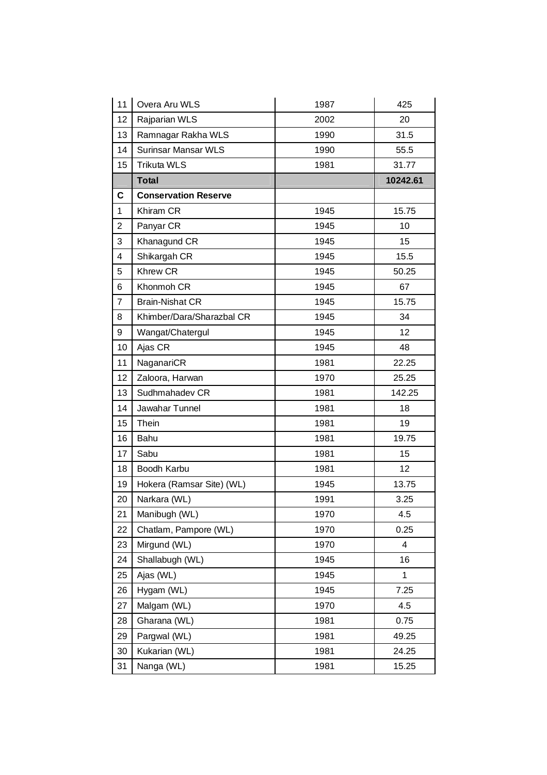| 11                      | Overa Aru WLS               | 1987 | 425          |
|-------------------------|-----------------------------|------|--------------|
| 12                      | Rajparian WLS               | 2002 | 20           |
| 13                      | Ramnagar Rakha WLS          | 1990 | 31.5         |
| 14                      | <b>Surinsar Mansar WLS</b>  | 1990 | 55.5         |
| 15                      | <b>Trikuta WLS</b>          | 1981 | 31.77        |
|                         | <b>Total</b>                |      | 10242.61     |
| C                       | <b>Conservation Reserve</b> |      |              |
| $\mathbf{1}$            | Khiram CR                   | 1945 | 15.75        |
| $\overline{c}$          | Panyar CR                   | 1945 | 10           |
| 3                       | Khanagund CR                | 1945 | 15           |
| $\overline{\mathbf{4}}$ | Shikargah CR                | 1945 | 15.5         |
| 5                       | <b>Khrew CR</b>             | 1945 | 50.25        |
| 6                       | Khonmoh CR                  | 1945 | 67           |
| 7                       | <b>Brain-Nishat CR</b>      | 1945 | 15.75        |
| 8                       | Khimber/Dara/Sharazbal CR   | 1945 | 34           |
| 9                       | Wangat/Chatergul            | 1945 | 12           |
| 10                      | Ajas CR                     | 1945 | 48           |
| 11                      | NaganariCR                  | 1981 | 22.25        |
| 12                      | Zaloora, Harwan             | 1970 | 25.25        |
| 13                      | Sudhmahadev CR              | 1981 | 142.25       |
| 14                      | Jawahar Tunnel              | 1981 | 18           |
| 15                      | Thein                       | 1981 | 19           |
| 16                      | Bahu                        | 1981 | 19.75        |
| 17                      | Sabu                        | 1981 | 15           |
| 18                      | Boodh Karbu                 | 1981 | 12           |
| 19                      | Hokera (Ramsar Site) (WL)   | 1945 | 13.75        |
| 20                      | Narkara (WL)                | 1991 | 3.25         |
| 21                      | Manibugh (WL)               | 1970 | 4.5          |
| 22                      | Chatlam, Pampore (WL)       | 1970 | 0.25         |
| 23                      | Mirgund (WL)                | 1970 | 4            |
| 24                      | Shallabugh (WL)             | 1945 | 16           |
| 25                      | Ajas (WL)                   | 1945 | $\mathbf{1}$ |
| 26                      | Hygam (WL)                  | 1945 | 7.25         |
| 27                      | Malgam (WL)                 | 1970 | 4.5          |
| 28                      | Gharana (WL)                | 1981 | 0.75         |
| 29                      | Pargwal (WL)                | 1981 | 49.25        |
| 30                      | Kukarian (WL)               | 1981 | 24.25        |
| 31                      | Nanga (WL)                  | 1981 | 15.25        |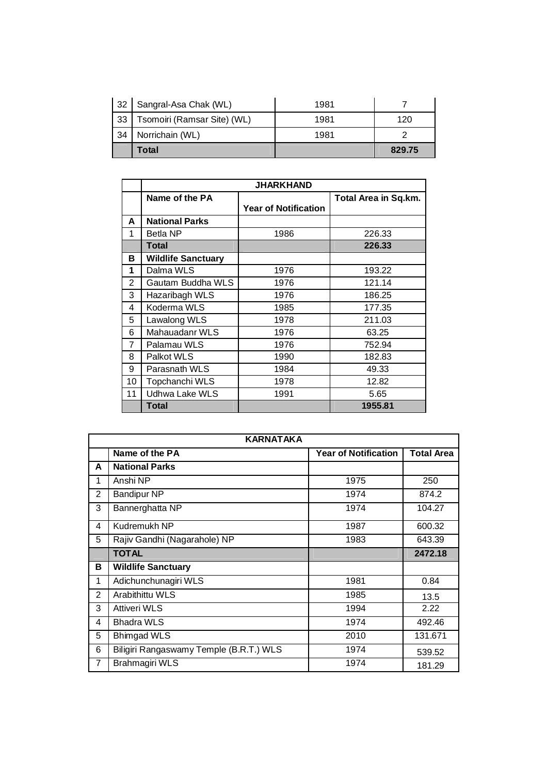|    | Total                       |      | 829.75 |
|----|-----------------------------|------|--------|
| 34 | Norrichain (WL)             | 1981 |        |
| 33 | Tsomoiri (Ramsar Site) (WL) | 1981 | 120    |
| 32 | Sangral-Asa Chak (WL)       | 1981 |        |

|                | <b>JHARKHAND</b>          |                             |                      |
|----------------|---------------------------|-----------------------------|----------------------|
|                | Name of the PA            |                             | Total Area in Sq.km. |
|                |                           | <b>Year of Notification</b> |                      |
| A              | <b>National Parks</b>     |                             |                      |
| 1              | <b>Betla NP</b>           | 1986                        | 226.33               |
|                | <b>Total</b>              |                             | 226.33               |
| в              | <b>Wildlife Sanctuary</b> |                             |                      |
| 1              | Dalma WLS                 | 1976                        | 193.22               |
| $\overline{2}$ | Gautam Buddha WLS         | 1976                        | 121.14               |
| 3              | Hazaribagh WLS            | 1976                        | 186.25               |
| 4              | Koderma WLS               | 1985                        | 177.35               |
| 5              | Lawalong WLS              | 1978                        | 211.03               |
| 6              | Mahauadanr WLS            | 1976                        | 63.25                |
| 7              | Palamau WLS               | 1976                        | 752.94               |
| 8              | Palkot WLS                | 1990                        | 182.83               |
| 9              | Parasnath WLS             | 1984                        | 49.33                |
| 10             | Topchanchi WLS            | 1978                        | 12.82                |
| 11             | Udhwa Lake WLS            | 1991                        | 5.65                 |
|                | Total                     |                             | 1955.81              |

|                | <b>KARNATAKA</b>                        |                             |                   |  |
|----------------|-----------------------------------------|-----------------------------|-------------------|--|
|                | Name of the PA                          | <b>Year of Notification</b> | <b>Total Area</b> |  |
| A              | <b>National Parks</b>                   |                             |                   |  |
| 1              | Anshi NP                                | 1975                        | 250               |  |
| 2              | <b>Bandipur NP</b>                      | 1974                        | 874.2             |  |
| 3              | Bannerghatta NP                         | 1974                        | 104.27            |  |
| 4              | Kudremukh NP                            | 1987                        | 600.32            |  |
| 5              | Rajiv Gandhi (Nagarahole) NP            | 1983                        | 643.39            |  |
|                | <b>TOTAL</b>                            |                             | 2472.18           |  |
| в              | <b>Wildlife Sanctuary</b>               |                             |                   |  |
| 1              | Adichunchunagiri WLS                    | 1981                        | 0.84              |  |
| $\overline{2}$ | Arabithittu WLS                         | 1985                        | 13.5              |  |
| 3              | <b>Attiveri WLS</b>                     | 1994                        | 2.22              |  |
| 4              | <b>Bhadra WLS</b>                       | 1974                        | 492.46            |  |
| 5              | <b>Bhimgad WLS</b>                      | 2010                        | 131.671           |  |
| 6              | Biligiri Rangaswamy Temple (B.R.T.) WLS | 1974                        | 539.52            |  |
| 7              | Brahmagiri WLS                          | 1974                        | 181.29            |  |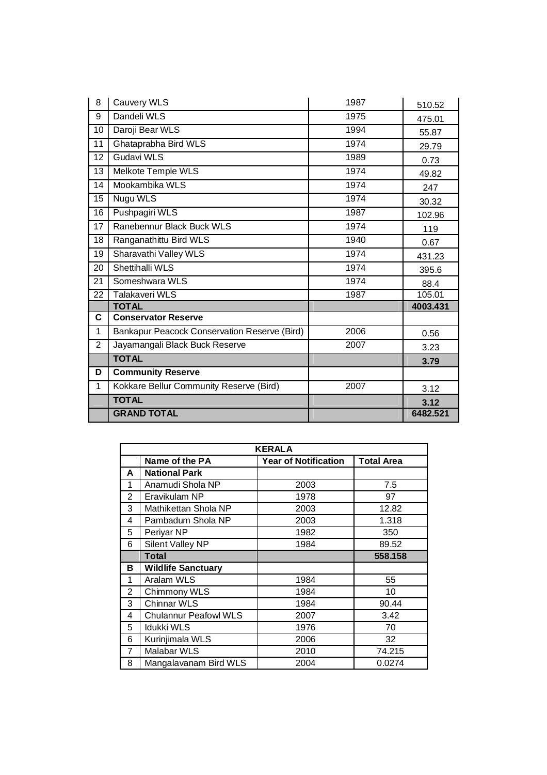| 8              | Cauvery WLS                                  | 1987 | 510.52   |
|----------------|----------------------------------------------|------|----------|
| 9              | Dandeli WLS                                  | 1975 | 475.01   |
| 10             | Daroji Bear WLS                              | 1994 | 55.87    |
| 11             | Ghataprabha Bird WLS                         | 1974 | 29.79    |
| 12             | Gudavi WLS                                   | 1989 | 0.73     |
| 13             | Melkote Temple WLS                           | 1974 | 49.82    |
| 14             | Mookambika WLS                               | 1974 | 247      |
| 15             | Nugu WLS                                     | 1974 | 30.32    |
| 16             | Pushpagiri WLS                               | 1987 | 102.96   |
| 17             | Ranebennur Black Buck WLS                    | 1974 | 119      |
| 18             | Ranganathittu Bird WLS                       | 1940 | 0.67     |
| 19             | Sharavathi Valley WLS                        | 1974 | 431.23   |
| 20             | Shettihalli WLS                              | 1974 | 395.6    |
| 21             | Someshwara WLS                               | 1974 | 88.4     |
| 22             | <b>Talakaveri WLS</b>                        | 1987 | 105.01   |
|                | <b>TOTAL</b>                                 |      | 4003.431 |
| C              | <b>Conservator Reserve</b>                   |      |          |
| 1              | Bankapur Peacock Conservation Reserve (Bird) | 2006 | 0.56     |
| $\overline{2}$ | Jayamangali Black Buck Reserve               | 2007 | 3.23     |
|                | <b>TOTAL</b>                                 |      | 3.79     |
| D              | <b>Community Reserve</b>                     |      |          |
| 1              | Kokkare Bellur Community Reserve (Bird)      | 2007 | 3.12     |
|                | <b>TOTAL</b>                                 |      | 3.12     |
|                | <b>GRAND TOTAL</b>                           |      | 6482.521 |

| <b>KERALA</b> |                              |                             |                   |
|---------------|------------------------------|-----------------------------|-------------------|
|               | Name of the PA               | <b>Year of Notification</b> | <b>Total Area</b> |
| A             | <b>National Park</b>         |                             |                   |
| 1             | Anamudi Shola NP             | 2003                        | 7.5               |
| 2             | Eravikulam NP                | 1978                        | 97                |
| 3             | Mathikettan Shola NP         | 2003                        | 12.82             |
| 4             | Pambadum Shola NP            | 2003                        | 1.318             |
| 5             | Periyar NP                   | 1982                        | 350               |
| 6             | Silent Valley NP             | 1984                        | 89.52             |
|               | <b>Total</b>                 |                             | 558.158           |
| в             | <b>Wildlife Sanctuary</b>    |                             |                   |
| 1             | Aralam WLS                   | 1984                        | 55                |
| 2             | Chimmony WLS                 | 1984                        | 10                |
| 3             | <b>Chinnar WLS</b>           | 1984                        | 90.44             |
| 4             | <b>Chulannur Peafowl WLS</b> | 2007                        | 3.42              |
| 5             | <b>Idukki WLS</b>            | 1976                        | 70                |
| 6             | Kurinjimala WLS              | 2006                        | 32                |
| 7             | Malabar WLS                  | 2010                        | 74.215            |
| 8             | Mangalavanam Bird WLS        | 2004                        | 0.0274            |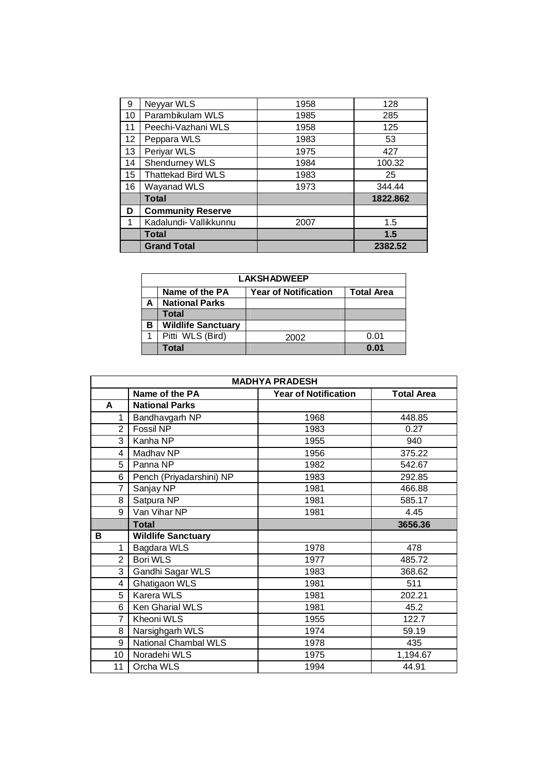| 9  | Neyyar WLS                | 1958 | 128      |
|----|---------------------------|------|----------|
| 10 | Parambikulam WLS          | 1985 | 285      |
| 11 | Peechi-Vazhani WLS        | 1958 | 125      |
| 12 | Peppara WLS               | 1983 | 53       |
| 13 | Periyar WLS               | 1975 | 427      |
| 14 | Shendurney WLS            | 1984 | 100.32   |
| 15 | <b>Thattekad Bird WLS</b> | 1983 | 25       |
| 16 | Wayanad WLS               | 1973 | 344.44   |
|    | <b>Total</b>              |      | 1822.862 |
| D  | <b>Community Reserve</b>  |      |          |
| 1  | Kadalundi- Vallikkunnu    | 2007 | 1.5      |
|    | Total                     |      | 1.5      |
|    | <b>Grand Total</b>        |      | 2382.52  |

| <b>LAKSHADWEEP</b> |                                                                    |      |      |  |
|--------------------|--------------------------------------------------------------------|------|------|--|
|                    | <b>Total Area</b><br>Name of the PA<br><b>Year of Notification</b> |      |      |  |
|                    | <b>National Parks</b>                                              |      |      |  |
|                    | <b>Total</b>                                                       |      |      |  |
| в                  | <b>Wildlife Sanctuary</b>                                          |      |      |  |
|                    | Pitti WLS (Bird)                                                   | 2002 | 0.01 |  |
|                    | Total                                                              |      | 0 Q1 |  |

| <b>MADHYA PRADESH</b> |                           |                             |                   |
|-----------------------|---------------------------|-----------------------------|-------------------|
|                       | Name of the PA            | <b>Year of Notification</b> | <b>Total Area</b> |
| A                     | <b>National Parks</b>     |                             |                   |
| 1                     | Bandhavgarh NP            | 1968                        | 448.85            |
| $\overline{2}$        | Fossil NP                 | 1983                        | 0.27              |
| 3                     | Kanha NP                  | 1955                        | 940               |
| 4                     | Madhav NP                 | 1956                        | 375.22            |
| 5                     | Panna NP                  | 1982                        | 542.67            |
| 6                     | Pench (Priyadarshini) NP  | 1983                        | 292.85            |
| 7                     | Sanjay NP                 | 1981                        | 466.88            |
| 8                     | Satpura NP                | 1981                        | 585.17            |
| 9                     | Van Vihar NP              | 1981                        | 4.45              |
|                       | <b>Total</b>              |                             | 3656.36           |
| В                     | <b>Wildlife Sanctuary</b> |                             |                   |
| 1                     | Bagdara WLS               | 1978                        | 478               |
| $\overline{2}$        | Bori WLS                  | 1977                        | 485.72            |
| 3                     | Gandhi Sagar WLS          | 1983                        | 368.62            |
| 4                     | Ghatigaon WLS             | 1981                        | 511               |
| 5                     | Karera WLS                | 1981                        | 202.21            |
| 6                     | Ken Gharial WLS           | 1981                        | 45.2              |
| $\overline{7}$        | Kheoni WLS                | 1955                        | 122.7             |
| 8                     | Narsighgarh WLS           | 1974                        | 59.19             |
| 9                     | National Chambal WLS      | 1978                        | 435               |
| 10                    | Noradehi WLS              | 1975                        | 1,194.67          |
| 11                    | Orcha WLS                 | 1994                        | 44.91             |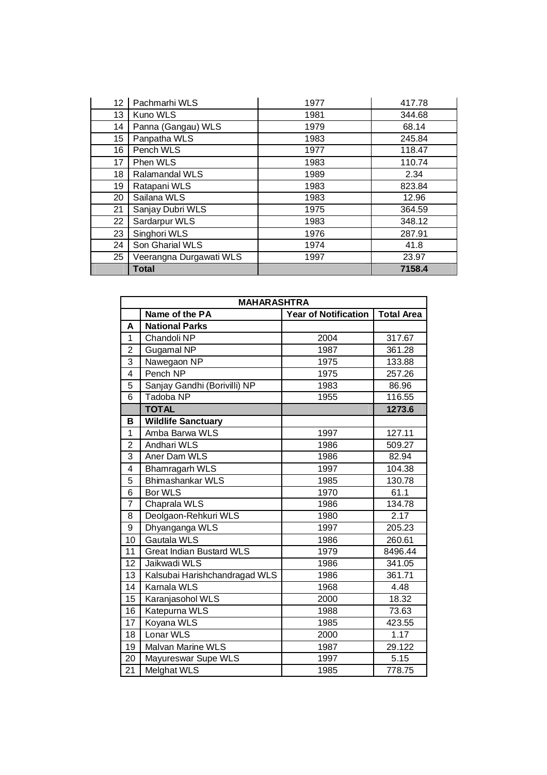| 12 | Pachmarhi WLS           | 1977 | 417.78 |
|----|-------------------------|------|--------|
| 13 | Kuno WLS                | 1981 | 344.68 |
| 14 | Panna (Gangau) WLS      | 1979 | 68.14  |
| 15 | Panpatha WLS            | 1983 | 245.84 |
| 16 | Pench WLS               | 1977 | 118.47 |
| 17 | Phen WLS                | 1983 | 110.74 |
| 18 | <b>Ralamandal WLS</b>   | 1989 | 2.34   |
| 19 | Ratapani WLS            | 1983 | 823.84 |
| 20 | Sailana WLS             | 1983 | 12.96  |
| 21 | Sanjay Dubri WLS        | 1975 | 364.59 |
| 22 | Sardarpur WLS           | 1983 | 348.12 |
| 23 | Singhori WLS            | 1976 | 287.91 |
| 24 | Son Gharial WLS         | 1974 | 41.8   |
| 25 | Veerangna Durgawati WLS | 1997 | 23.97  |
|    | <b>Total</b>            |      | 7158.4 |

|                 | <b>MAHARASHTRA</b>              |                             |                   |  |
|-----------------|---------------------------------|-----------------------------|-------------------|--|
|                 | Name of the PA                  | <b>Year of Notification</b> | <b>Total Area</b> |  |
| A               | <b>National Parks</b>           |                             |                   |  |
| $\mathbf{1}$    | Chandoli NP                     | 2004                        | 317.67            |  |
| $\overline{2}$  | Gugamal NP                      | 1987                        | 361.28            |  |
| 3               | Nawegaon NP                     | 1975                        | 133.88            |  |
| 4               | Pench NP                        | 1975                        | 257.26            |  |
| 5               | Sanjay Gandhi (Borivilli) NP    | 1983                        | 86.96             |  |
| 6               | Tadoba NP                       | 1955                        | 116.55            |  |
|                 | <b>TOTAL</b>                    |                             | 1273.6            |  |
| B               | <b>Wildlife Sanctuary</b>       |                             |                   |  |
| 1               | Amba Barwa WLS                  | 1997                        | 127.11            |  |
| $\overline{2}$  | Andhari WLS                     | 1986                        | 509.27            |  |
| $\overline{3}$  | Aner Dam WLS                    | 1986                        | 82.94             |  |
| 4               | Bhamragarh WLS                  | 1997                        | 104.38            |  |
| 5               | Bhimashankar WLS                | 1985                        | 130.78            |  |
| 6               | <b>Bor WLS</b>                  | 1970                        | 61.1              |  |
| $\overline{7}$  | Chaprala WLS                    | 1986                        | 134.78            |  |
| 8               | Deolgaon-Rehkuri WLS            | 1980                        | 2.17              |  |
| 9               | Dhyanganga WLS                  | 1997                        | 205.23            |  |
| 10              | Gautala WLS                     | 1986                        | 260.61            |  |
| 11              | <b>Great Indian Bustard WLS</b> | 1979                        | 8496.44           |  |
| $\overline{12}$ | Jaikwadi WLS                    | 1986                        | 341.05            |  |
| 13              | Kalsubai Harishchandragad WLS   | 1986                        | 361.71            |  |
| 14              | Karnala WLS                     | 1968                        | 4.48              |  |
| 15              | Karanjasohol WLS                | 2000                        | 18.32             |  |
| 16              | Katepurna WLS                   | 1988                        | 73.63             |  |
| 17              | Koyana WLS                      | 1985                        | 423.55            |  |
| 18              | Lonar WLS                       | 2000                        | 1.17              |  |
| 19              | <b>Malvan Marine WLS</b>        | 1987                        | 29.122            |  |
| 20              | Mayureswar Supe WLS             | 1997                        | 5.15              |  |
| 21              | <b>Melghat WLS</b>              | 1985                        | 778.75            |  |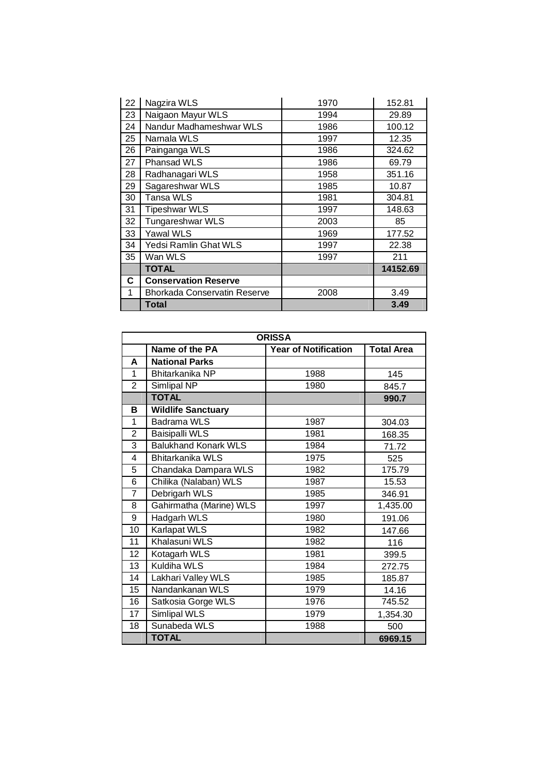| 22 | Nagzira WLS                  | 1970 | 152.81   |
|----|------------------------------|------|----------|
| 23 | Naigaon Mayur WLS            | 1994 | 29.89    |
| 24 | Nandur Madhameshwar WLS      | 1986 | 100.12   |
| 25 | Namala WLS                   | 1997 | 12.35    |
| 26 | Painganga WLS                | 1986 | 324.62   |
| 27 | Phansad WLS                  | 1986 | 69.79    |
| 28 | Radhanagari WLS              | 1958 | 351.16   |
| 29 | Sagareshwar WLS              | 1985 | 10.87    |
| 30 | Tansa WLS                    | 1981 | 304.81   |
| 31 | <b>Tipeshwar WLS</b>         | 1997 | 148.63   |
| 32 | Tungareshwar WLS             | 2003 | 85       |
| 33 | <b>Yawal WLS</b>             | 1969 | 177.52   |
| 34 | Yedsi Ramlin Ghat WLS        | 1997 | 22.38    |
| 35 | Wan WLS                      | 1997 | 211      |
|    | <b>TOTAL</b>                 |      | 14152.69 |
| C  | <b>Conservation Reserve</b>  |      |          |
| 1  | Bhorkada Conservatin Reserve | 2008 | 3.49     |
|    | <b>Total</b>                 |      | 3.49     |

| <b>ORISSA</b>   |                             |                             |                   |
|-----------------|-----------------------------|-----------------------------|-------------------|
|                 | Name of the PA              | <b>Year of Notification</b> | <b>Total Area</b> |
| A               | <b>National Parks</b>       |                             |                   |
| 1               | Bhitarkanika NP             | 1988                        | 145               |
| $\overline{2}$  | Simlipal NP                 | 1980                        | 845.7             |
|                 | <b>TOTAL</b>                |                             | 990.7             |
| B               | <b>Wildlife Sanctuary</b>   |                             |                   |
| 1               | <b>Badrama WLS</b>          | 1987                        | 304.03            |
| $\overline{2}$  | <b>Baisipalli WLS</b>       | 1981                        | 168.35            |
| 3               | <b>Balukhand Konark WLS</b> | 1984                        | 71.72             |
| 4               | <b>Bhitarkanika WLS</b>     | 1975                        | 525               |
| 5               | Chandaka Dampara WLS        | 1982                        | 175.79            |
| 6               | Chilika (Nalaban) WLS       | 1987                        | 15.53             |
| $\overline{7}$  | Debrigarh WLS               | 1985                        | 346.91            |
| 8               | Gahirmatha (Marine) WLS     | 1997                        | 1,435.00          |
| 9               | Hadgarh WLS                 | 1980                        | 191.06            |
| 10              | <b>Karlapat WLS</b>         | 1982                        | 147.66            |
| 11              | Khalasuni WLS               | 1982                        | 116               |
| 12              | Kotagarh WLS                | 1981                        | 399.5             |
| 13              | Kuldiha WLS                 | 1984                        | 272.75            |
| 14              | Lakhari Valley WLS          | 1985                        | 185.87            |
| $\overline{15}$ | Nandankanan WLS             | 1979                        | 14.16             |
| 16              | Satkosia Gorge WLS          | 1976                        | 745.52            |
| $\overline{17}$ | <b>Simlipal WLS</b>         | 1979                        | 1,354.30          |
| 18              | Sunabeda WLS                | 1988                        | 500               |
|                 | <b>TOTAL</b>                |                             | 6969.15           |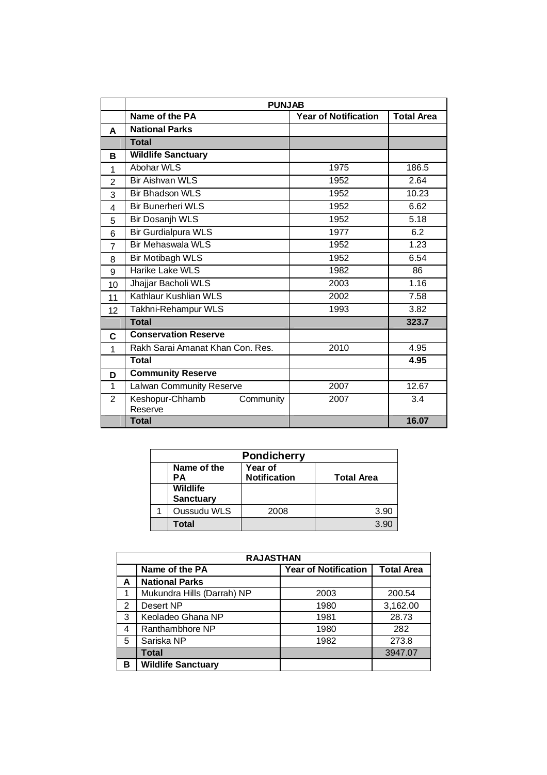|                | <b>PUNJAB</b>                           |                             |                   |
|----------------|-----------------------------------------|-----------------------------|-------------------|
|                | Name of the PA                          | <b>Year of Notification</b> | <b>Total Area</b> |
| A              | <b>National Parks</b>                   |                             |                   |
|                | <b>Total</b>                            |                             |                   |
| в              | <b>Wildlife Sanctuary</b>               |                             |                   |
| 1              | <b>Abohar WLS</b>                       | 1975                        | 186.5             |
| $\mathbf{2}$   | <b>Bir Aishvan WLS</b>                  | 1952                        | 2.64              |
| 3              | <b>Bir Bhadson WLS</b>                  | 1952                        | 10.23             |
| 4              | <b>Bir Bunerheri WLS</b>                | 1952                        | 6.62              |
| 5              | Bir Dosanjh WLS                         | 1952                        | 5.18              |
| 6              | <b>Bir Gurdialpura WLS</b>              | 1977                        | 6.2               |
| $\overline{7}$ | <b>Bir Mehaswala WLS</b>                | 1952                        | 1.23              |
| 8              | <b>Bir Motibagh WLS</b>                 | 1952                        | 6.54              |
| 9              | Harike Lake WLS                         | 1982                        | 86                |
| 10             | Jhajjar Bacholi WLS                     | 2003                        | 1.16              |
| 11             | Kathlaur Kushlian WLS                   | 2002                        | 7.58              |
| 12             | Takhni-Rehampur WLS                     | 1993                        | 3.82              |
|                | <b>Total</b>                            |                             | 323.7             |
| C              | <b>Conservation Reserve</b>             |                             |                   |
| 1              | Rakh Sarai Amanat Khan Con, Res.        | 2010                        | 4.95              |
|                | <b>Total</b>                            |                             | 4.95              |
| D              | <b>Community Reserve</b>                |                             |                   |
| 1              | Lalwan Community Reserve                | 2007                        | 12.67             |
| 2              | Keshopur-Chhamb<br>Community<br>Reserve | 2007                        | 3.4               |
|                | <b>Total</b>                            |                             | 16.07             |

| <b>Pondicherry</b> |                                                                          |      |      |  |
|--------------------|--------------------------------------------------------------------------|------|------|--|
|                    | Year of<br>Name of the<br><b>Notification</b><br><b>Total Area</b><br>PА |      |      |  |
|                    | <b>Wildlife</b><br><b>Sanctuary</b>                                      |      |      |  |
|                    | Oussudu WLS                                                              | 2008 | 3.90 |  |
|                    | Total                                                                    |      | 3.90 |  |

| <b>RAJASTHAN</b> |                            |                             |                   |
|------------------|----------------------------|-----------------------------|-------------------|
|                  | Name of the PA             | <b>Year of Notification</b> | <b>Total Area</b> |
| А                | <b>National Parks</b>      |                             |                   |
|                  | Mukundra Hills (Darrah) NP | 2003                        | 200.54            |
| 2                | Desert NP                  | 1980                        | 3,162.00          |
| 3                | Keoladeo Ghana NP          | 1981                        | 28.73             |
| 4                | Ranthambhore NP            | 1980                        | 282               |
| 5                | Sariska NP                 | 1982                        | 273.8             |
|                  | <b>Total</b>               |                             | 3947.07           |
| в                | <b>Wildlife Sanctuary</b>  |                             |                   |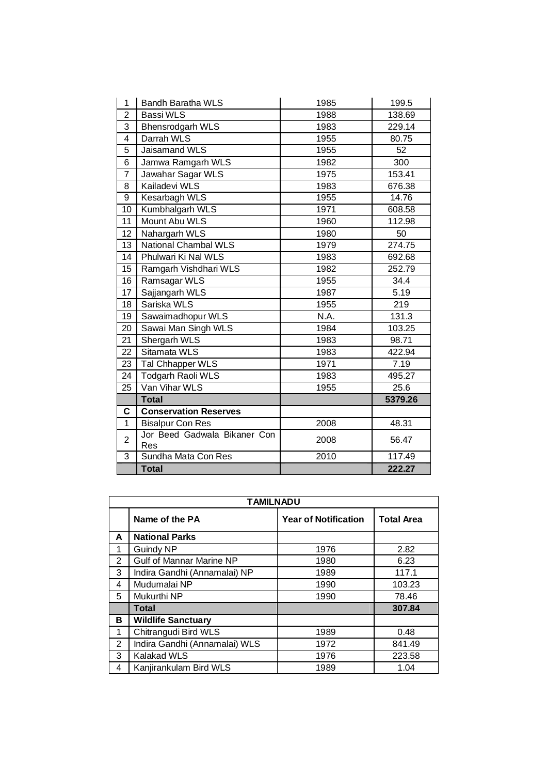| 1              | <b>Bandh Baratha WLS</b>            | 1985 | 199.5   |
|----------------|-------------------------------------|------|---------|
| $\overline{c}$ | <b>Bassi WLS</b>                    | 1988 | 138.69  |
| 3              | <b>Bhensrodgarh WLS</b>             | 1983 | 229.14  |
| 4              | Darrah WLS                          | 1955 | 80.75   |
| 5              | Jaisamand WLS                       | 1955 | 52      |
| 6              | Jamwa Ramgarh WLS                   | 1982 | 300     |
| $\overline{7}$ | Jawahar Sagar WLS                   | 1975 | 153.41  |
| 8              | Kailadevi WLS                       | 1983 | 676.38  |
| 9              | Kesarbagh WLS                       | 1955 | 14.76   |
| 10             | Kumbhalgarh WLS                     | 1971 | 608.58  |
| 11             | Mount Abu WLS                       | 1960 | 112.98  |
| 12             | Nahargarh WLS                       | 1980 | 50      |
| 13             | <b>National Chambal WLS</b>         | 1979 | 274.75  |
| 14             | Phulwari Ki Nal WLS                 | 1983 | 692.68  |
| 15             | Ramgarh Vishdhari WLS               | 1982 | 252.79  |
| 16             | Ramsagar WLS                        | 1955 | 34.4    |
| 17             | Sajjangarh WLS                      | 1987 | 5.19    |
| 18             | Sariska WLS                         | 1955 | 219     |
| 19             | Sawaimadhopur WLS                   | N.A. | 131.3   |
| 20             | Sawai Man Singh WLS                 | 1984 | 103.25  |
| 21             | Shergarh WLS                        | 1983 | 98.71   |
| 22             | Sitamata WLS                        | 1983 | 422.94  |
| 23             | Tal Chhapper WLS                    | 1971 | 7.19    |
| 24             | Todgarh Raoli WLS                   | 1983 | 495.27  |
| 25             | Van Vihar WLS                       | 1955 | 25.6    |
|                | <b>Total</b>                        |      | 5379.26 |
| $\mathbf C$    | <b>Conservation Reserves</b>        |      |         |
| $\mathbf{1}$   | <b>Bisalpur Con Res</b>             | 2008 | 48.31   |
| $\overline{2}$ | Jor Beed Gadwala Bikaner Con<br>Res | 2008 | 56.47   |
| 3              | Sundha Mata Con Res                 | 2010 | 117.49  |
|                | <b>Total</b>                        |      | 222.27  |

|   | <b>TAMILNADU</b>              |                             |                   |  |
|---|-------------------------------|-----------------------------|-------------------|--|
|   | Name of the PA                | <b>Year of Notification</b> | <b>Total Area</b> |  |
| A | <b>National Parks</b>         |                             |                   |  |
| 1 | Guindy NP                     | 1976                        | 2.82              |  |
| 2 | Gulf of Mannar Marine NP      | 1980                        | 6.23              |  |
| 3 | Indira Gandhi (Annamalai) NP  | 1989                        | 117.1             |  |
| 4 | Mudumalai NP                  | 1990                        | 103.23            |  |
| 5 | Mukurthi NP                   | 1990                        | 78.46             |  |
|   | <b>Total</b>                  |                             | 307.84            |  |
| в | <b>Wildlife Sanctuary</b>     |                             |                   |  |
| 1 | Chitrangudi Bird WLS          | 1989                        | 0.48              |  |
| 2 | Indira Gandhi (Annamalai) WLS | 1972                        | 841.49            |  |
| 3 | <b>Kalakad WLS</b>            | 1976                        | 223.58            |  |
| 4 | Kanjirankulam Bird WLS        | 1989                        | 1.04              |  |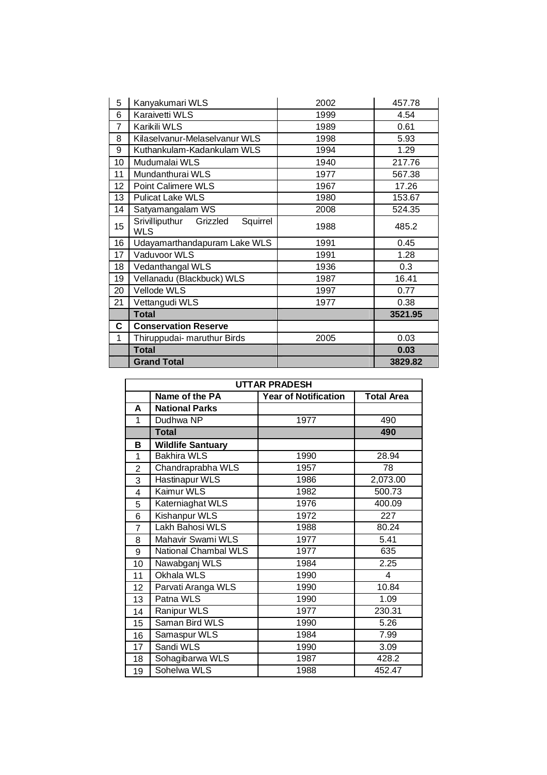| 5  | Kanyakumari WLS                                      | 2002 | 457.78  |
|----|------------------------------------------------------|------|---------|
| 6  | Karaivetti WLS                                       | 1999 | 4.54    |
| 7  | Karikili WLS                                         | 1989 | 0.61    |
| 8  | Kilaselvanur-Melaselvanur WLS                        | 1998 | 5.93    |
| 9  | Kuthankulam-Kadankulam WLS                           | 1994 | 1.29    |
| 10 | Mudumalai WLS                                        | 1940 | 217.76  |
| 11 | Mundanthurai WLS                                     | 1977 | 567.38  |
| 12 | Point Calimere WLS                                   | 1967 | 17.26   |
| 13 | <b>Pulicat Lake WLS</b>                              | 1980 | 153.67  |
| 14 | Satyamangalam WS                                     | 2008 | 524.35  |
| 15 | Srivilliputhur<br>Squirrel<br>Grizzled<br><b>WLS</b> | 1988 | 485.2   |
| 16 | Udayamarthandapuram Lake WLS                         | 1991 | 0.45    |
| 17 | Vaduvoor WLS                                         | 1991 | 1.28    |
| 18 | Vedanthangal WLS                                     | 1936 | 0.3     |
| 19 | Vellanadu (Blackbuck) WLS                            | 1987 | 16.41   |
| 20 | Vellode WLS                                          | 1997 | 0.77    |
| 21 | Vettangudi WLS                                       | 1977 | 0.38    |
|    | <b>Total</b>                                         |      | 3521.95 |
| C. | <b>Conservation Reserve</b>                          |      |         |
| 1  | Thiruppudai- maruthur Birds                          | 2005 | 0.03    |
|    | <b>Total</b>                                         |      | 0.03    |
|    | <b>Grand Total</b>                                   |      | 3829.82 |

|    | <b>UTTAR PRADESH</b>     |                             |                   |  |
|----|--------------------------|-----------------------------|-------------------|--|
|    | Name of the PA           | <b>Year of Notification</b> | <b>Total Area</b> |  |
| A  | <b>National Parks</b>    |                             |                   |  |
| 1  | Dudhwa NP                | 1977                        | 490               |  |
|    | <b>Total</b>             |                             | 490               |  |
| в  | <b>Wildlife Santuary</b> |                             |                   |  |
| 1  | <b>Bakhira WLS</b>       | 1990                        | 28.94             |  |
| 2  | Chandraprabha WLS        | 1957                        | 78                |  |
| 3  | Hastinapur WLS           | 1986                        | 2,073.00          |  |
| 4  | Kaimur WLS               | 1982                        | 500.73            |  |
| 5  | Katerniaghat WLS         | 1976                        | 400.09            |  |
| 6  | <b>Kishanpur WLS</b>     | 1972                        | 227               |  |
| 7  | Lakh Bahosi WLS          | 1988                        | 80.24             |  |
| 8  | Mahavir Swami WLS        | 1977                        | 5.41              |  |
| 9  | National Chambal WLS     | 1977                        | 635               |  |
| 10 | Nawabganj WLS            | 1984                        | 2.25              |  |
| 11 | Okhala WLS               | 1990                        | 4                 |  |
| 12 | Parvati Aranga WLS       | 1990                        | 10.84             |  |
| 13 | Patna WLS                | 1990                        | 1.09              |  |
| 14 | Ranipur WLS              | 1977                        | 230.31            |  |
| 15 | Saman Bird WLS           | 1990                        | 5.26              |  |
| 16 | Samaspur WLS             | 1984                        | 7.99              |  |
| 17 | Sandi WLS                | 1990                        | 3.09              |  |
| 18 | Sohagibarwa WLS          | 1987                        | 428.2             |  |
| 19 | Sohelwa WLS              | 1988                        | 452.47            |  |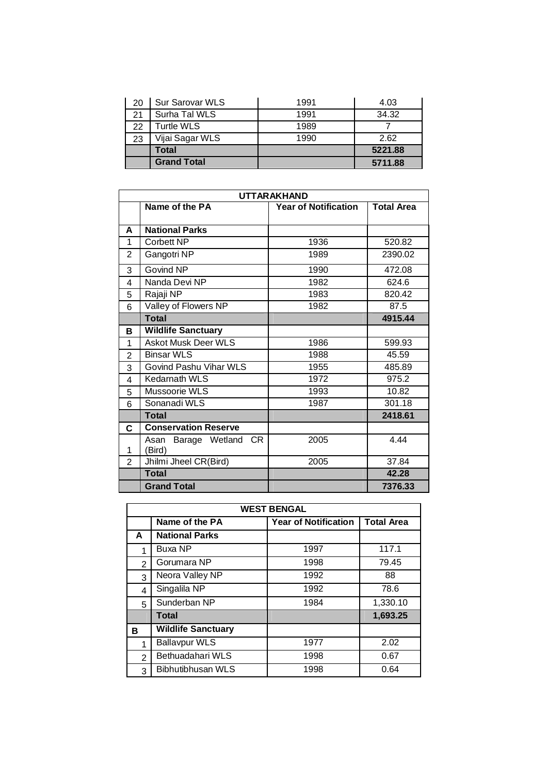| 20 | <b>Sur Sarovar WLS</b> | 1991 | 4.03    |
|----|------------------------|------|---------|
| 21 | Surha Tal WLS          | 1991 | 34.32   |
| 22 | Turtle WLS             | 1989 |         |
| 23 | Vijai Sagar WLS        | 1990 | 2.62    |
|    | Total                  |      | 5221.88 |
|    | <b>Grand Total</b>     |      | 5711.88 |

|                | <b>UTTARAKHAND</b>               |                             |                   |  |
|----------------|----------------------------------|-----------------------------|-------------------|--|
|                | Name of the PA                   | <b>Year of Notification</b> | <b>Total Area</b> |  |
|                |                                  |                             |                   |  |
| A              | <b>National Parks</b>            |                             |                   |  |
| 1              | Corbett NP                       | 1936                        | 520.82            |  |
| $\overline{2}$ | Gangotri NP                      | 1989                        | 2390.02           |  |
| 3              | Govind NP                        | 1990                        | 472.08            |  |
| 4              | Nanda Devi NP                    | 1982                        | 624.6             |  |
| 5              | Rajaji NP                        | 1983                        | 820.42            |  |
| 6              | Valley of Flowers NP             | 1982                        | 87.5              |  |
|                | <b>Total</b>                     |                             | 4915.44           |  |
| в              | <b>Wildlife Sanctuary</b>        |                             |                   |  |
| 1              | <b>Askot Musk Deer WLS</b>       | 1986                        | 599.93            |  |
| $\overline{2}$ | <b>Binsar WLS</b>                | 1988                        | 45.59             |  |
| 3              | Govind Pashu Vihar WLS           | 1955                        | 485.89            |  |
| 4              | <b>Kedarnath WLS</b>             | 1972                        | 975.2             |  |
| 5              | Mussoorie WLS                    | 1993                        | 10.82             |  |
| 6              | Sonanadi WLS                     | 1987                        | 301.18            |  |
|                | <b>Total</b>                     |                             | 2418.61           |  |
| C              | <b>Conservation Reserve</b>      |                             |                   |  |
| 1              | Asan Barage Wetland CR<br>(Bird) | 2005                        | 4.44              |  |
| $\overline{2}$ | Jhilmi Jheel CR(Bird)            | 2005                        | 37.84             |  |
|                | <b>Total</b>                     |                             | 42.28             |  |
|                | <b>Grand Total</b>               |                             | 7376.33           |  |

| <b>WEST BENGAL</b> |                                                                    |      |          |  |  |
|--------------------|--------------------------------------------------------------------|------|----------|--|--|
|                    | Name of the PA<br><b>Year of Notification</b><br><b>Total Area</b> |      |          |  |  |
| A                  | <b>National Parks</b>                                              |      |          |  |  |
| 1                  | <b>Buxa NP</b>                                                     | 1997 | 117.1    |  |  |
| $\overline{2}$     | Gorumara NP                                                        | 1998 | 79.45    |  |  |
| 3                  | Neora Valley NP                                                    | 1992 | 88       |  |  |
| 4                  | Singalila NP                                                       | 1992 | 78.6     |  |  |
| 5                  | Sunderban NP                                                       | 1984 | 1,330.10 |  |  |
|                    | <b>Total</b>                                                       |      | 1,693.25 |  |  |
| в                  | <b>Wildlife Sanctuary</b>                                          |      |          |  |  |
| 1                  | <b>Ballavpur WLS</b>                                               | 1977 | 2.02     |  |  |
| $\overline{2}$     | Bethuadahari WLS                                                   | 1998 | 0.67     |  |  |
| 3                  | Bibhutibhusan WLS                                                  | 1998 | 0.64     |  |  |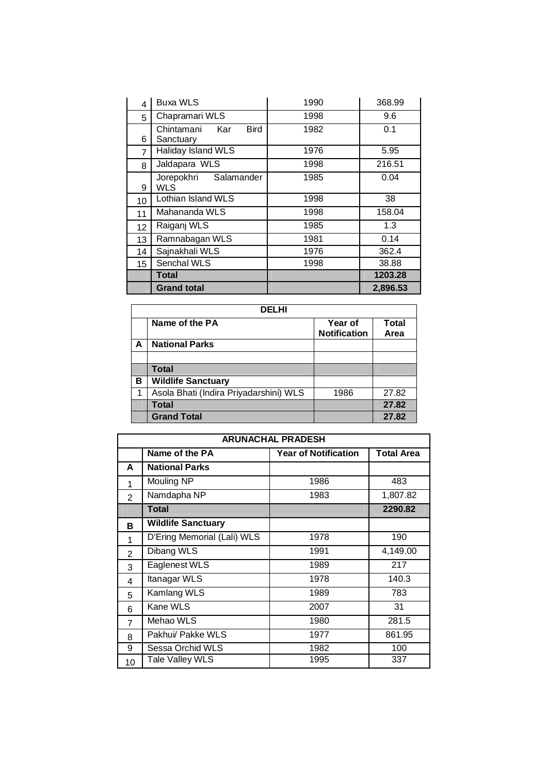| 4               | <b>Buxa WLS</b>                               | 1990 | 368.99   |
|-----------------|-----------------------------------------------|------|----------|
| 5               | Chapramari WLS                                | 1998 | 9.6      |
| 6               | <b>Bird</b><br>Chintamani<br>Kar<br>Sanctuary | 1982 | 0.1      |
| 7               | Haliday Island WLS                            | 1976 | 5.95     |
| 8               | Jaldapara WLS                                 | 1998 | 216.51   |
| 9               | Jorepokhri Salamander<br>WLS                  | 1985 | 0.04     |
| 10              | Lothian Island WLS                            | 1998 | 38       |
| 11              | Mahananda WLS                                 | 1998 | 158.04   |
| 12 <sub>2</sub> | Raiganj WLS                                   | 1985 | 1.3      |
| 13              | Ramnabagan WLS                                | 1981 | 0.14     |
| 14              | Sajnakhali WLS                                | 1976 | 362.4    |
| 15              | Senchal WLS                                   | 1998 | 38.88    |
|                 | Total                                         |      | 1203.28  |
|                 | <b>Grand total</b>                            |      | 2,896.53 |

|   | <b>DELHI</b>                           |                                |                      |  |
|---|----------------------------------------|--------------------------------|----------------------|--|
|   | Name of the PA                         | Year of<br><b>Notification</b> | <b>Total</b><br>Area |  |
| А | <b>National Parks</b>                  |                                |                      |  |
|   |                                        |                                |                      |  |
|   | <b>Total</b>                           |                                |                      |  |
| в | <b>Wildlife Sanctuary</b>              |                                |                      |  |
|   | Asola Bhati (Indira Priyadarshini) WLS | 1986                           | 27.82                |  |
|   | <b>Total</b>                           |                                | 27.82                |  |
|   | <b>Grand Total</b>                     |                                | 27.82                |  |

| <b>ARUNACHAL PRADESH</b> |                             |                             |            |
|--------------------------|-----------------------------|-----------------------------|------------|
|                          | Name of the PA              | <b>Year of Notification</b> | Total Area |
| A                        | <b>National Parks</b>       |                             |            |
| 1                        | Mouling NP                  | 1986                        | 483        |
| $\overline{2}$           | Namdapha NP                 | 1983                        | 1,807.82   |
|                          | Total                       |                             | 2290.82    |
| в                        | <b>Wildlife Sanctuary</b>   |                             |            |
| 1                        | D'Ering Memorial (Lali) WLS | 1978                        | 190        |
| $\mathcal{P}$            | Dibang WLS                  | 1991                        | 4,149.00   |
| 3                        | Eaglenest WLS               | 1989                        | 217        |
| 4                        | Itanagar WLS                | 1978                        | 140.3      |
| 5                        | Kamlang WLS                 | 1989                        | 783        |
| 6                        | Kane WLS                    | 2007                        | 31         |
| $\overline{7}$           | Mehao WLS                   | 1980                        | 281.5      |
| 8                        | Pakhui/ Pakke WLS           | 1977                        | 861.95     |
| 9                        | Sessa Orchid WLS            | 1982                        | 100        |
| 10                       | Tale Valley WLS             | 1995                        | 337        |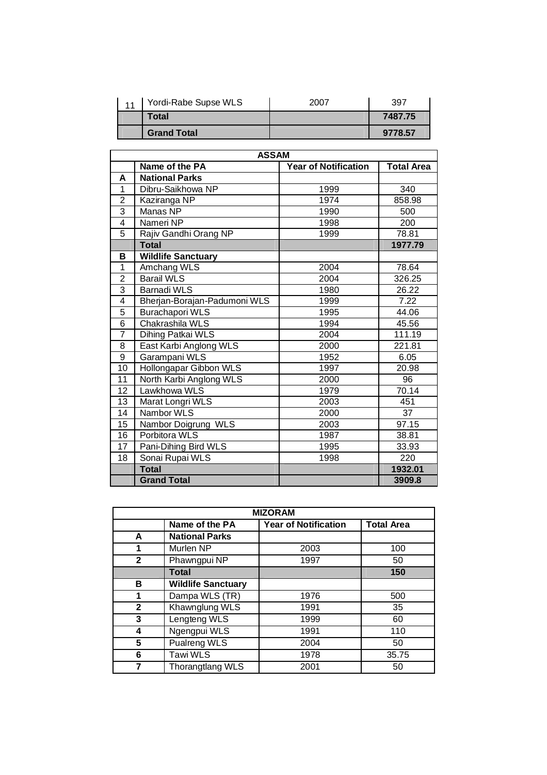| $\overline{A}$ | Yordi-Rabe Supse WLS | 2007 | 397     |
|----------------|----------------------|------|---------|
|                | Total                |      | 7487.75 |
|                | <b>Grand Total</b>   |      | 9778.57 |

|                 | <b>ASSAM</b>                 |                             |                   |  |  |  |  |
|-----------------|------------------------------|-----------------------------|-------------------|--|--|--|--|
|                 | Name of the PA               | <b>Year of Notification</b> | <b>Total Area</b> |  |  |  |  |
| A               | <b>National Parks</b>        |                             |                   |  |  |  |  |
| 1               | Dibru-Saikhowa NP            | 1999                        | 340               |  |  |  |  |
| $\overline{2}$  | Kaziranga NP                 | 1974                        | 858.98            |  |  |  |  |
| $\overline{3}$  | Manas NP                     | 1990                        | 500               |  |  |  |  |
| $\overline{4}$  | Nameri NP                    | 1998                        | 200               |  |  |  |  |
| $\overline{5}$  | Rajiv Gandhi Orang NP        | 1999                        | 78.81             |  |  |  |  |
|                 | <b>Total</b>                 |                             | 1977.79           |  |  |  |  |
| в               | <b>Wildlife Sanctuary</b>    |                             |                   |  |  |  |  |
| 1               | Amchang WLS                  | 2004                        | 78.64             |  |  |  |  |
| $\overline{2}$  | <b>Barail WLS</b>            | 2004                        | 326.25            |  |  |  |  |
| $\overline{3}$  | <b>Barnadi WLS</b>           | 1980                        | 26.22             |  |  |  |  |
| $\overline{4}$  | Bherjan-Borajan-Padumoni WLS | 1999                        | 7.22              |  |  |  |  |
| 5               | <b>Burachapori WLS</b>       | 1995                        | 44.06             |  |  |  |  |
| 6               | Chakrashila WLS              | 1994                        | 45.56             |  |  |  |  |
| 7               | Dihing Patkai WLS            | 2004                        | 111.19            |  |  |  |  |
| 8               | East Karbi Anglong WLS       | 2000                        | 221.81            |  |  |  |  |
| $\overline{9}$  | Garampani WLS                | 1952                        | 6.05              |  |  |  |  |
| $\overline{10}$ | Hollongapar Gibbon WLS       | 1997                        | 20.98             |  |  |  |  |
| $\overline{11}$ | North Karbi Anglong WLS      | 2000                        | 96                |  |  |  |  |
| 12              | Lawkhowa WLS                 | 1979                        | 70.14             |  |  |  |  |
| 13              | Marat Longri WLS             | 2003                        | 451               |  |  |  |  |
| 14              | Nambor WLS                   | 2000                        | 37                |  |  |  |  |
| $\overline{15}$ | Nambor Doigrung WLS          | 2003                        | 97.15             |  |  |  |  |
| 16              | Porbitora WLS                | 1987<br>38.81               |                   |  |  |  |  |
| 17              | Pani-Dihing Bird WLS         | 33.93<br>1995               |                   |  |  |  |  |
| 18              | Sonai Rupai WLS              | 1998                        | 220               |  |  |  |  |
|                 | <b>Total</b>                 |                             | 1932.01           |  |  |  |  |
|                 | <b>Grand Total</b>           |                             | 3909.8            |  |  |  |  |

| <b>MIZORAM</b> |                                                                    |      |       |  |  |  |  |  |  |
|----------------|--------------------------------------------------------------------|------|-------|--|--|--|--|--|--|
|                | Name of the PA<br><b>Year of Notification</b><br><b>Total Area</b> |      |       |  |  |  |  |  |  |
| A              | <b>National Parks</b>                                              |      |       |  |  |  |  |  |  |
|                | Murlen NP                                                          | 2003 | 100   |  |  |  |  |  |  |
| $\mathbf{2}$   | Phawngpui NP                                                       | 1997 | 50    |  |  |  |  |  |  |
|                | Total                                                              |      | 150   |  |  |  |  |  |  |
| в              | <b>Wildlife Sanctuary</b>                                          |      |       |  |  |  |  |  |  |
| 1              | Dampa WLS (TR)                                                     | 1976 | 500   |  |  |  |  |  |  |
| $\mathbf{2}$   | Khawnglung WLS                                                     | 1991 | 35    |  |  |  |  |  |  |
| 3              | Lengteng WLS                                                       | 1999 | 60    |  |  |  |  |  |  |
| 4              | Ngengpui WLS                                                       | 1991 | 110   |  |  |  |  |  |  |
| 5              | Pualreng WLS                                                       | 2004 | 50    |  |  |  |  |  |  |
| 6              | Tawi WLS                                                           | 1978 | 35.75 |  |  |  |  |  |  |
|                | <b>Thorangtlang WLS</b>                                            | 2001 | 50    |  |  |  |  |  |  |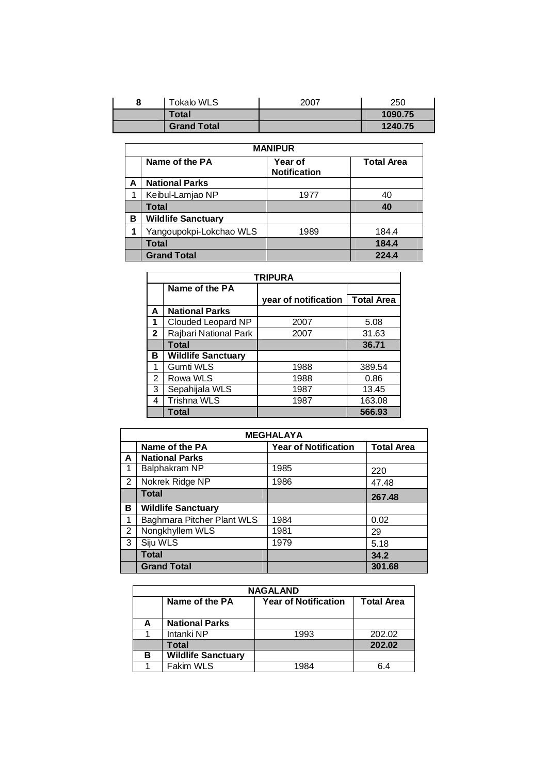| <b>Tokalo WLS</b>  | 2007 | 250     |
|--------------------|------|---------|
| <b>Total</b>       |      | 1090.75 |
| <b>Grand Total</b> |      | 1240.75 |

|                                                                              | <b>MANIPUR</b>            |      |       |  |  |  |  |
|------------------------------------------------------------------------------|---------------------------|------|-------|--|--|--|--|
| Name of the PA<br><b>Total Area</b><br><b>Year of</b><br><b>Notification</b> |                           |      |       |  |  |  |  |
| А                                                                            | <b>National Parks</b>     |      |       |  |  |  |  |
|                                                                              | Keibul-Lamjao NP          | 1977 | 40    |  |  |  |  |
|                                                                              | Total                     |      | 40    |  |  |  |  |
| в                                                                            | <b>Wildlife Sanctuary</b> |      |       |  |  |  |  |
|                                                                              | Yangoupokpi-Lokchao WLS   | 1989 | 184.4 |  |  |  |  |
|                                                                              | Total                     |      | 184.4 |  |  |  |  |
|                                                                              | <b>Grand Total</b>        |      | 224.4 |  |  |  |  |

|                | <b>TRIPURA</b>            |                      |                   |  |  |  |
|----------------|---------------------------|----------------------|-------------------|--|--|--|
|                | Name of the PA            |                      |                   |  |  |  |
|                |                           | year of notification | <b>Total Area</b> |  |  |  |
| A              | <b>National Parks</b>     |                      |                   |  |  |  |
|                | Clouded Leopard NP        | 2007                 | 5.08              |  |  |  |
| $\overline{2}$ | Rajbari National Park     | 2007                 | 31.63             |  |  |  |
|                | <b>Total</b>              |                      | 36.71             |  |  |  |
| в              | <b>Wildlife Sanctuary</b> |                      |                   |  |  |  |
| 1              | Gumti WLS                 | 1988                 | 389.54            |  |  |  |
| 2              | Rowa WLS                  | 1988                 | 0.86              |  |  |  |
| 3              | Sepahijala WLS            | 1987                 | 13.45             |  |  |  |
| 4              | Trishna WLS               | 1987                 | 163.08            |  |  |  |
|                | <b>Total</b>              |                      | 566.93            |  |  |  |

| <b>MEGHALAYA</b> |                                                                    |      |        |  |  |  |  |  |  |
|------------------|--------------------------------------------------------------------|------|--------|--|--|--|--|--|--|
|                  | Name of the PA<br><b>Year of Notification</b><br><b>Total Area</b> |      |        |  |  |  |  |  |  |
| A                | <b>National Parks</b>                                              |      |        |  |  |  |  |  |  |
| 1                | Balphakram NP                                                      | 1985 | 220    |  |  |  |  |  |  |
| 2                | Nokrek Ridge NP                                                    | 1986 | 47.48  |  |  |  |  |  |  |
|                  | <b>Total</b>                                                       |      | 267.48 |  |  |  |  |  |  |
| в                | <b>Wildlife Sanctuary</b>                                          |      |        |  |  |  |  |  |  |
|                  | Baghmara Pitcher Plant WLS                                         | 1984 | 0.02   |  |  |  |  |  |  |
| 2                | Nongkhyllem WLS                                                    | 1981 | 29     |  |  |  |  |  |  |
| 3                | Siju WLS                                                           | 1979 | 5.18   |  |  |  |  |  |  |
|                  | <b>Total</b>                                                       |      | 34.2   |  |  |  |  |  |  |
|                  | <b>Grand Total</b>                                                 |      | 301.68 |  |  |  |  |  |  |

|   | <b>NAGALAND</b>                                                    |      |        |  |  |  |  |  |
|---|--------------------------------------------------------------------|------|--------|--|--|--|--|--|
|   | Name of the PA<br><b>Total Area</b><br><b>Year of Notification</b> |      |        |  |  |  |  |  |
|   |                                                                    |      |        |  |  |  |  |  |
| А | <b>National Parks</b>                                              |      |        |  |  |  |  |  |
|   | Intanki NP                                                         | 1993 | 202.02 |  |  |  |  |  |
|   | Total                                                              |      | 202.02 |  |  |  |  |  |
| в | <b>Wildlife Sanctuary</b>                                          |      |        |  |  |  |  |  |
|   | Fakim WLS                                                          | 1984 | 6 4    |  |  |  |  |  |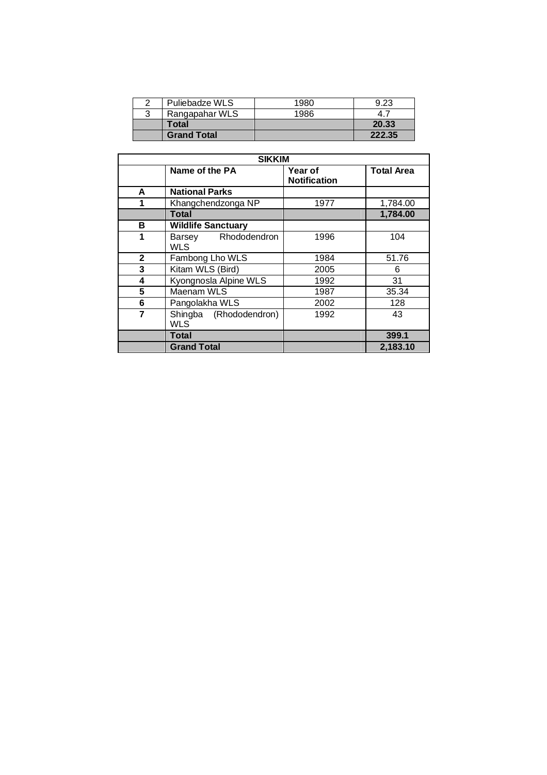| Puliebadze WLS     | 1980 | 9.23   |
|--------------------|------|--------|
| Rangapahar WLS     | 1986 |        |
| Total              |      | 20.33  |
| <b>Grand Total</b> |      | 222.35 |

|              | <b>SIKKIM</b>                     |                                |                   |  |  |  |  |
|--------------|-----------------------------------|--------------------------------|-------------------|--|--|--|--|
|              | Name of the PA                    | Year of<br><b>Notification</b> | <b>Total Area</b> |  |  |  |  |
| A            | <b>National Parks</b>             |                                |                   |  |  |  |  |
| 1            | Khangchendzonga NP                | 1977                           | 1,784.00          |  |  |  |  |
|              | Total                             |                                | 1,784.00          |  |  |  |  |
| в            | <b>Wildlife Sanctuary</b>         |                                |                   |  |  |  |  |
| 1            | Barsey Rhododendron<br><b>WLS</b> | 1996                           | 104               |  |  |  |  |
| $\mathbf{2}$ | Fambong Lho WLS                   | 1984                           | 51.76             |  |  |  |  |
| 3            | Kitam WLS (Bird)                  | 2005                           | 6                 |  |  |  |  |
| 4            | Kyongnosla Alpine WLS             | 1992                           | 31                |  |  |  |  |
| 5            | Maenam WLS                        | 1987                           | 35.34             |  |  |  |  |
| 6            | Pangolakha WLS                    | 2002                           | 128               |  |  |  |  |
| 7            | Shingba (Rhododendron)<br>WLS     | 1992                           | 43                |  |  |  |  |
|              | Total                             |                                | 399.1             |  |  |  |  |
|              | <b>Grand Total</b>                |                                | 2,183.10          |  |  |  |  |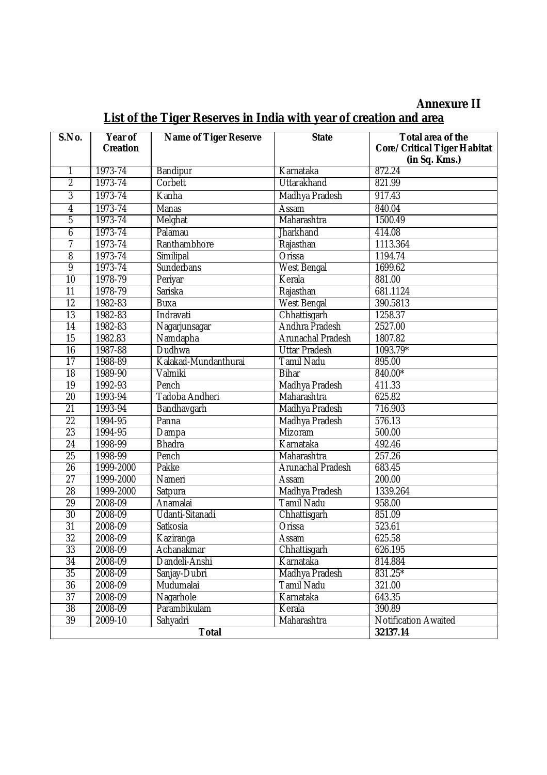# **Annexure II**

| List of the Tiger Reserves in India with year of creation and area |  |  |  |  |  |
|--------------------------------------------------------------------|--|--|--|--|--|
|                                                                    |  |  |  |  |  |

| S.No.           | Year of         | <b>Name of Tiger Reserve</b> | <b>State</b>             | Total area of the                  |
|-----------------|-----------------|------------------------------|--------------------------|------------------------------------|
|                 | <b>Creation</b> |                              |                          | <b>Core/Critical Tiger Habitat</b> |
| 1               | 1973-74         | Bandipur                     | Karnataka                | (in Sq. Kms.)<br>872.24            |
| $\overline{2}$  | 1973-74         | Corbett                      | <b>Uttarakhand</b>       | 821.99                             |
| $\overline{3}$  | 1973-74         | Kanha                        | Madhya Pradesh           | 917.43                             |
| 4               | 1973-74         | Manas                        | Assam                    | 840.04                             |
| $\overline{5}$  | 1973-74         | Melghat                      | Maharashtra              | 1500.49                            |
| 6               | 1973-74         | Palamau                      | Jharkhand                | 414.08                             |
| 7               | 1973-74         | Ranthambhore                 | Rajasthan                | 1113.364                           |
| $\overline{8}$  | 1973-74         | Similipal                    | Orissa                   | 1194.74                            |
| 9               | 1973-74         | Sunderbans                   | <b>West Bengal</b>       | 1699.62                            |
| $\overline{10}$ | 1978-79         | Periyar                      | Kerala                   | 881.00                             |
| $\overline{11}$ | 1978-79         | Sariska                      | Rajasthan                | 681.1124                           |
| $\overline{12}$ | 1982-83         | Buxa                         | <b>West Bengal</b>       | 390.5813                           |
| $\overline{13}$ | 1982-83         | Indravati                    | Chhattisgarh             | 1258.37                            |
| $\overline{14}$ | 1982-83         | Nagarjunsagar                | Andhra Pradesh           | 2527.00                            |
| $\overline{15}$ | 1982.83         | Namdapha                     | Arunachal Pradesh        | 1807.82                            |
| $\overline{16}$ | 1987-88         | Dudhwa                       | <b>Uttar Pradesh</b>     | 1093.79*                           |
| $\overline{17}$ | 1988-89         | Kalakad-Mundanthurai         | <b>Tamil Nadu</b>        | 895.00                             |
| $\overline{18}$ | 1989-90         | Valmiki                      | <b>Bihar</b>             | 840.00*                            |
| $\overline{19}$ | 1992-93         | Pench                        | Madhya Pradesh           | 411.33                             |
| $\overline{20}$ | 1993-94         | Tadoba Andheri               | Maharashtra              | 625.82                             |
| $\overline{21}$ | 1993-94         | Bandhavgarh                  | Madhya Pradesh           | 716.903                            |
| $\overline{22}$ | 1994-95         | Panna                        | Madhya Pradesh           | 576.13                             |
| $\overline{23}$ | 1994-95         | Dampa                        | Mizoram                  | 500.00                             |
| $\overline{24}$ | 1998-99         | <b>Bhadra</b>                | Karnataka                | 492.46                             |
| $\overline{25}$ | 1998-99         | Pench                        | Maharashtra              | 257.26                             |
| $\overline{26}$ | 1999-2000       | Pakke                        | <b>Arunachal Pradesh</b> | 683.45                             |
| $\overline{27}$ | 1999-2000       | Nameri                       | Assam                    | 200.00                             |
| 28              | 1999-2000       | Satpura                      | Madhya Pradesh           | 1339.264                           |
| $\overline{29}$ | 2008-09         | Anamalai                     | <b>Tamil Nadu</b>        | 958.00                             |
| $\overline{30}$ | 2008-09         | Udanti-Sitanadi              | Chhattisgarh             | 851.09                             |
| $\overline{31}$ | 2008-09         | Satkosia                     | Orissa                   | 523.61                             |
| $\overline{32}$ | 2008-09         | Kaziranga                    | Assam                    | 625.58                             |
| $\overline{33}$ | 2008-09         | Achanakmar                   | Chhattisgarh             | 626.195                            |
| 34              | 2008-09         | Dandeli-Anshi                | Karnataka                | 814.884                            |
| 35              | 2008-09         | Sanjay-Dubri                 | Madhya Pradesh           | 831.25*                            |
| 36              | 2008-09         | Mudumalai                    | <b>Tamil Nadu</b>        | 321.00                             |
| $\overline{37}$ | 2008-09         | Nagarhole                    | Karnataka                | 643.35                             |
| $\overline{38}$ | 2008-09         | Parambikulam                 | Kerala                   | 390.89                             |
| $\overline{39}$ | 2009-10         | Sahyadri                     | Maharashtra              | <b>Notification Awaited</b>        |
|                 |                 | <b>Total</b>                 |                          | 32137.14                           |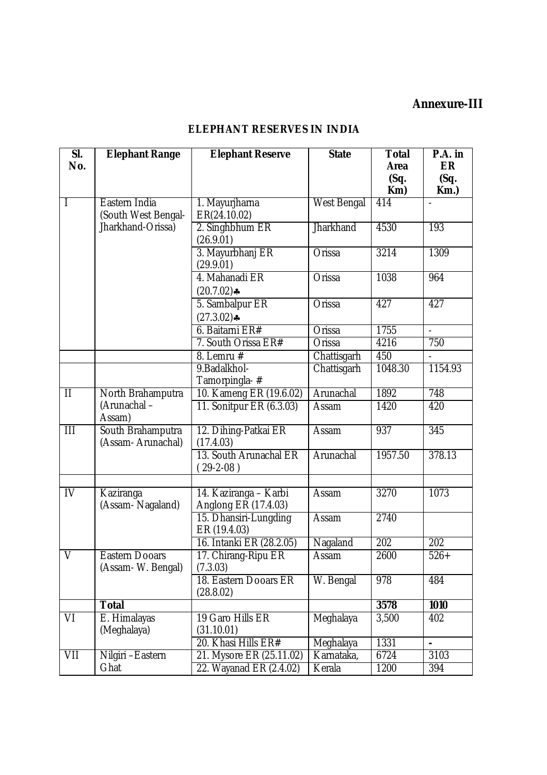## **Annexure-III**

# **ELEPHANT RESERVES IN INDIA**

| SI.<br>No.              | <b>Elephant Range</b>                                     | <b>Elephant Reserve</b>                             | <b>State</b>         | <b>Total</b><br>Area | P.A. in<br><b>ER</b> |
|-------------------------|-----------------------------------------------------------|-----------------------------------------------------|----------------------|----------------------|----------------------|
|                         |                                                           |                                                     |                      | (Sq.<br>Km)          | (Sq.<br>$Km.$ )      |
| $\mathsf{I}$            | Eastern India<br>(South West Bengal-<br>Jharkhand-Orissa) | 1. Mayurjharna<br>ER(24.10.02)                      | West Bengal          | 414                  |                      |
|                         |                                                           | 2. Singhbhum ER<br>(26.9.01)                        | <b>Jharkhand</b>     | 4530                 | 193                  |
|                         |                                                           | 3. Mayurbhanj ER<br>(29.9.01)                       | <b>Orissa</b>        | 3214                 | 1309                 |
|                         |                                                           | 4. Mahanadi ER<br>$(20.7.02)$ *                     | Orissa               | 1038                 | 964                  |
|                         |                                                           | 5. Sambalpur ER<br>$(27.3.02)$ *                    | Orissa               | 427                  | 427                  |
|                         |                                                           | 6. Baitarni ER#                                     | Orissa               | 1755                 |                      |
|                         |                                                           | 7. South Orissa ER#                                 | Orissa               | 4216                 | 750                  |
|                         |                                                           | 8. Lemru $#$                                        | Chattisgarh          | 450                  |                      |
|                         |                                                           | 9. Badalkhol-<br>Tamorpingla-#                      | Chattisgarh          | 1048.30              | 1154.93              |
| $\overline{\mathsf{I}}$ | North Brahamputra                                         | 10. Kameng ER (19.6.02)                             | Arunachal            | 1892                 | 748                  |
|                         | (Arunachal -<br>Assam)                                    | 11. Sonitpur ER (6.3.03)                            | Assam                | 1420                 | 420                  |
| Ш                       | South Brahamputra<br>(Assam-Arunachal)                    | 12. Dihing-Patkai ER<br>(17.4.03)                   | Assam                | 937                  | 345                  |
|                         |                                                           | 13. South Arunachal ER<br>$(29-2-08)$               | Arunachal            | 1957.50              | 378.13               |
| $\overline{N}$          | Kaziranga<br>(Assam-Nagaland)                             | 14. Kaziranga – Karbi<br>Anglong ER (17.4.03)       | Assam                | 3270                 | 1073                 |
|                         |                                                           | 15. Dhansiri-Lungding<br>ER (19.4.03)               | Assam                | 2740                 |                      |
|                         |                                                           | 16. Intanki ER (28.2.05)                            | Nagaland             | $\overline{202}$     | 202                  |
| $\vee$                  | <b>Eastern Dooars</b><br>(Assam- W. Bengal)               | 17. Chirang-Ripu ER<br>(7.3.03)                     | Assam                | 2600                 | $526+$               |
|                         |                                                           | 18. Eastern Dooars ER<br>(28.8.02)                  | W. Bengal            | 978                  | 484                  |
|                         | <b>Total</b>                                              |                                                     |                      | 3578                 | 1010                 |
| VI                      | E. Himalayas<br>(Meghalaya)                               | 19 Garo Hills ER<br>(31.10.01)                      | Meghalaya            | 3,500                | 402                  |
|                         |                                                           | 20. Khasi Hills ER#                                 | Meghalaya            | 1331                 | $\overline{a}$       |
| VII                     | Nilgiri - Eastern<br>Ghat                                 | 21. Mysore ER (25.11.02)<br>22. Wayanad ER (2.4.02) | Karnataka,<br>Kerala | 6724<br>1200         | 3103<br>394          |